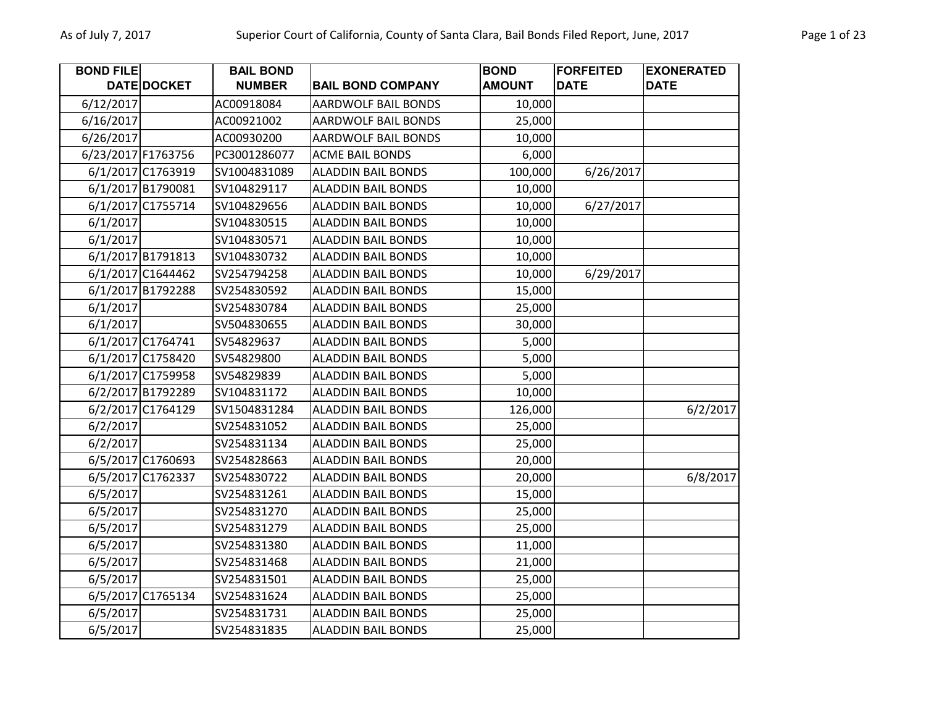| <b>BOND FILE</b> |                    | <b>BAIL BOND</b> |                            | <b>BOND</b>   | <b>FORFEITED</b> | <b>EXONERATED</b> |
|------------------|--------------------|------------------|----------------------------|---------------|------------------|-------------------|
|                  | DATE DOCKET        | <b>NUMBER</b>    | <b>BAIL BOND COMPANY</b>   | <b>AMOUNT</b> | <b>DATE</b>      | <b>DATE</b>       |
| 6/12/2017        |                    | AC00918084       | <b>AARDWOLF BAIL BONDS</b> | 10,000        |                  |                   |
| 6/16/2017        |                    | AC00921002       | <b>AARDWOLF BAIL BONDS</b> | 25,000        |                  |                   |
| 6/26/2017        |                    | AC00930200       | <b>AARDWOLF BAIL BONDS</b> | 10,000        |                  |                   |
|                  | 6/23/2017 F1763756 | PC3001286077     | <b>ACME BAIL BONDS</b>     | 6,000         |                  |                   |
|                  | 6/1/2017 C1763919  | SV1004831089     | <b>ALADDIN BAIL BONDS</b>  | 100,000       | 6/26/2017        |                   |
|                  | 6/1/2017 B1790081  | SV104829117      | <b>ALADDIN BAIL BONDS</b>  | 10,000        |                  |                   |
|                  | 6/1/2017 C1755714  | SV104829656      | <b>ALADDIN BAIL BONDS</b>  | 10,000        | 6/27/2017        |                   |
| 6/1/2017         |                    | SV104830515      | <b>ALADDIN BAIL BONDS</b>  | 10,000        |                  |                   |
| 6/1/2017         |                    | SV104830571      | <b>ALADDIN BAIL BONDS</b>  | 10,000        |                  |                   |
|                  | 6/1/2017 B1791813  | SV104830732      | <b>ALADDIN BAIL BONDS</b>  | 10,000        |                  |                   |
|                  | 6/1/2017 C1644462  | SV254794258      | <b>ALADDIN BAIL BONDS</b>  | 10,000        | 6/29/2017        |                   |
|                  | 6/1/2017 B1792288  | SV254830592      | <b>ALADDIN BAIL BONDS</b>  | 15,000        |                  |                   |
| 6/1/2017         |                    | SV254830784      | <b>ALADDIN BAIL BONDS</b>  | 25,000        |                  |                   |
| 6/1/2017         |                    | SV504830655      | <b>ALADDIN BAIL BONDS</b>  | 30,000        |                  |                   |
|                  | 6/1/2017 C1764741  | SV54829637       | <b>ALADDIN BAIL BONDS</b>  | 5,000         |                  |                   |
|                  | 6/1/2017 C1758420  | SV54829800       | <b>ALADDIN BAIL BONDS</b>  | 5,000         |                  |                   |
|                  | 6/1/2017 C1759958  | SV54829839       | <b>ALADDIN BAIL BONDS</b>  | 5,000         |                  |                   |
|                  | 6/2/2017 B1792289  | SV104831172      | <b>ALADDIN BAIL BONDS</b>  | 10,000        |                  |                   |
|                  | 6/2/2017 C1764129  | SV1504831284     | <b>ALADDIN BAIL BONDS</b>  | 126,000       |                  | 6/2/2017          |
| 6/2/2017         |                    | SV254831052      | <b>ALADDIN BAIL BONDS</b>  | 25,000        |                  |                   |
| 6/2/2017         |                    | SV254831134      | <b>ALADDIN BAIL BONDS</b>  | 25,000        |                  |                   |
|                  | 6/5/2017 C1760693  | SV254828663      | <b>ALADDIN BAIL BONDS</b>  | 20,000        |                  |                   |
|                  | 6/5/2017 C1762337  | SV254830722      | <b>ALADDIN BAIL BONDS</b>  | 20,000        |                  | 6/8/2017          |
| 6/5/2017         |                    | SV254831261      | <b>ALADDIN BAIL BONDS</b>  | 15,000        |                  |                   |
| 6/5/2017         |                    | SV254831270      | <b>ALADDIN BAIL BONDS</b>  | 25,000        |                  |                   |
| 6/5/2017         |                    | SV254831279      | <b>ALADDIN BAIL BONDS</b>  | 25,000        |                  |                   |
| 6/5/2017         |                    | SV254831380      | <b>ALADDIN BAIL BONDS</b>  | 11,000        |                  |                   |
| 6/5/2017         |                    | SV254831468      | <b>ALADDIN BAIL BONDS</b>  | 21,000        |                  |                   |
| 6/5/2017         |                    | SV254831501      | <b>ALADDIN BAIL BONDS</b>  | 25,000        |                  |                   |
|                  | 6/5/2017 C1765134  | SV254831624      | <b>ALADDIN BAIL BONDS</b>  | 25,000        |                  |                   |
| 6/5/2017         |                    | SV254831731      | <b>ALADDIN BAIL BONDS</b>  | 25,000        |                  |                   |
| 6/5/2017         |                    | SV254831835      | <b>ALADDIN BAIL BONDS</b>  | 25,000        |                  |                   |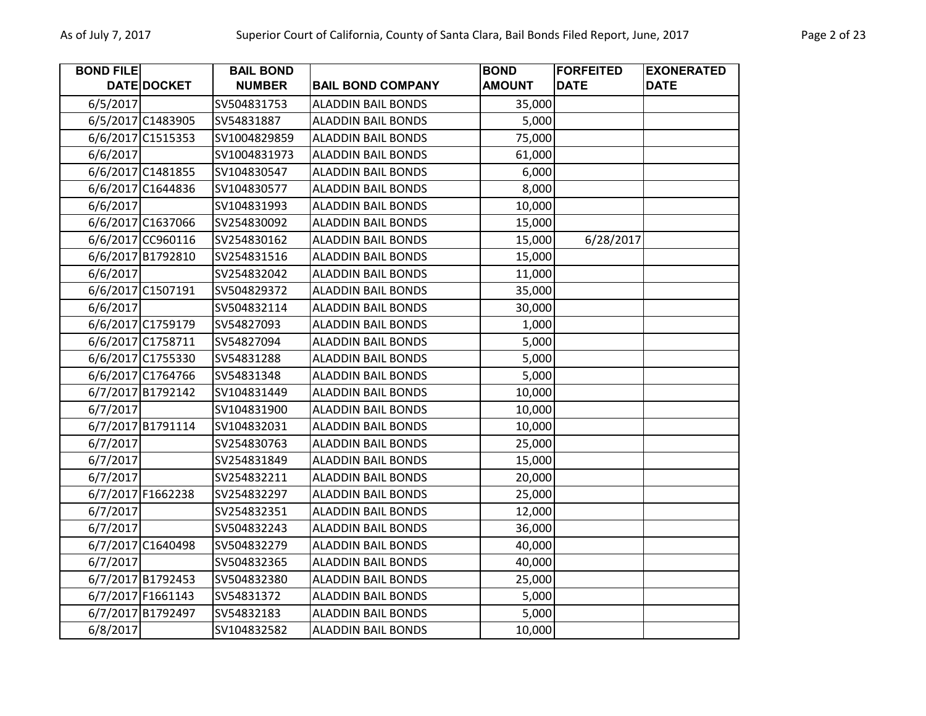| <b>BOND FILE</b> |                   | <b>BAIL BOND</b> |                           | <b>BOND</b>   | <b>FORFEITED</b> | <b>EXONERATED</b> |
|------------------|-------------------|------------------|---------------------------|---------------|------------------|-------------------|
|                  | DATE DOCKET       | <b>NUMBER</b>    | <b>BAIL BOND COMPANY</b>  | <b>AMOUNT</b> | <b>DATE</b>      | <b>DATE</b>       |
| 6/5/2017         |                   | SV504831753      | <b>ALADDIN BAIL BONDS</b> | 35,000        |                  |                   |
|                  | 6/5/2017 C1483905 | SV54831887       | <b>ALADDIN BAIL BONDS</b> | 5,000         |                  |                   |
|                  | 6/6/2017 C1515353 | SV1004829859     | <b>ALADDIN BAIL BONDS</b> | 75,000        |                  |                   |
| 6/6/2017         |                   | SV1004831973     | <b>ALADDIN BAIL BONDS</b> | 61,000        |                  |                   |
|                  | 6/6/2017 C1481855 | SV104830547      | <b>ALADDIN BAIL BONDS</b> | 6,000         |                  |                   |
|                  | 6/6/2017 C1644836 | SV104830577      | <b>ALADDIN BAIL BONDS</b> | 8,000         |                  |                   |
| 6/6/2017         |                   | SV104831993      | <b>ALADDIN BAIL BONDS</b> | 10,000        |                  |                   |
|                  | 6/6/2017 C1637066 | SV254830092      | <b>ALADDIN BAIL BONDS</b> | 15,000        |                  |                   |
|                  | 6/6/2017 CC960116 | SV254830162      | <b>ALADDIN BAIL BONDS</b> | 15,000        | 6/28/2017        |                   |
|                  | 6/6/2017 B1792810 | SV254831516      | <b>ALADDIN BAIL BONDS</b> | 15,000        |                  |                   |
| 6/6/2017         |                   | SV254832042      | <b>ALADDIN BAIL BONDS</b> | 11,000        |                  |                   |
|                  | 6/6/2017 C1507191 | SV504829372      | <b>ALADDIN BAIL BONDS</b> | 35,000        |                  |                   |
| 6/6/2017         |                   | SV504832114      | <b>ALADDIN BAIL BONDS</b> | 30,000        |                  |                   |
|                  | 6/6/2017 C1759179 | SV54827093       | <b>ALADDIN BAIL BONDS</b> | 1,000         |                  |                   |
|                  | 6/6/2017 C1758711 | SV54827094       | <b>ALADDIN BAIL BONDS</b> | 5,000         |                  |                   |
|                  | 6/6/2017 C1755330 | SV54831288       | <b>ALADDIN BAIL BONDS</b> | 5,000         |                  |                   |
|                  | 6/6/2017 C1764766 | SV54831348       | <b>ALADDIN BAIL BONDS</b> | 5,000         |                  |                   |
|                  | 6/7/2017 B1792142 | SV104831449      | <b>ALADDIN BAIL BONDS</b> | 10,000        |                  |                   |
| 6/7/2017         |                   | SV104831900      | <b>ALADDIN BAIL BONDS</b> | 10,000        |                  |                   |
|                  | 6/7/2017 B1791114 | SV104832031      | <b>ALADDIN BAIL BONDS</b> | 10,000        |                  |                   |
| 6/7/2017         |                   | SV254830763      | <b>ALADDIN BAIL BONDS</b> | 25,000        |                  |                   |
| 6/7/2017         |                   | SV254831849      | <b>ALADDIN BAIL BONDS</b> | 15,000        |                  |                   |
| 6/7/2017         |                   | SV254832211      | <b>ALADDIN BAIL BONDS</b> | 20,000        |                  |                   |
|                  | 6/7/2017 F1662238 | SV254832297      | <b>ALADDIN BAIL BONDS</b> | 25,000        |                  |                   |
| 6/7/2017         |                   | SV254832351      | <b>ALADDIN BAIL BONDS</b> | 12,000        |                  |                   |
| 6/7/2017         |                   | SV504832243      | <b>ALADDIN BAIL BONDS</b> | 36,000        |                  |                   |
|                  | 6/7/2017 C1640498 | SV504832279      | <b>ALADDIN BAIL BONDS</b> | 40,000        |                  |                   |
| 6/7/2017         |                   | SV504832365      | <b>ALADDIN BAIL BONDS</b> | 40,000        |                  |                   |
|                  | 6/7/2017 B1792453 | SV504832380      | <b>ALADDIN BAIL BONDS</b> | 25,000        |                  |                   |
|                  | 6/7/2017 F1661143 | SV54831372       | <b>ALADDIN BAIL BONDS</b> | 5,000         |                  |                   |
|                  | 6/7/2017 B1792497 | SV54832183       | <b>ALADDIN BAIL BONDS</b> | 5,000         |                  |                   |
| 6/8/2017         |                   | SV104832582      | <b>ALADDIN BAIL BONDS</b> | 10,000        |                  |                   |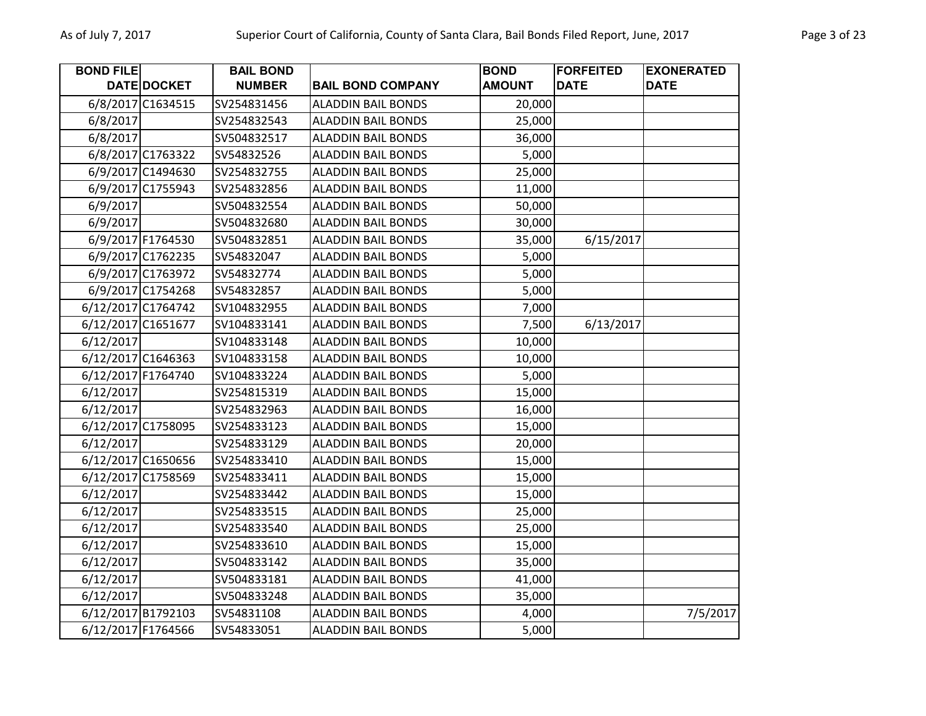| <b>BOND FILE</b>   |                   | <b>BAIL BOND</b> |                           | <b>BOND</b>   | <b>FORFEITED</b> | <b>EXONERATED</b> |
|--------------------|-------------------|------------------|---------------------------|---------------|------------------|-------------------|
|                    | DATE DOCKET       | <b>NUMBER</b>    | <b>BAIL BOND COMPANY</b>  | <b>AMOUNT</b> | <b>DATE</b>      | <b>DATE</b>       |
|                    | 6/8/2017 C1634515 | SV254831456      | <b>ALADDIN BAIL BONDS</b> | 20,000        |                  |                   |
| 6/8/2017           |                   | SV254832543      | <b>ALADDIN BAIL BONDS</b> | 25,000        |                  |                   |
| 6/8/2017           |                   | SV504832517      | <b>ALADDIN BAIL BONDS</b> | 36,000        |                  |                   |
|                    | 6/8/2017 C1763322 | SV54832526       | <b>ALADDIN BAIL BONDS</b> | 5,000         |                  |                   |
|                    | 6/9/2017 C1494630 | SV254832755      | <b>ALADDIN BAIL BONDS</b> | 25,000        |                  |                   |
|                    | 6/9/2017 C1755943 | SV254832856      | <b>ALADDIN BAIL BONDS</b> | 11,000        |                  |                   |
| 6/9/2017           |                   | SV504832554      | <b>ALADDIN BAIL BONDS</b> | 50,000        |                  |                   |
| 6/9/2017           |                   | SV504832680      | <b>ALADDIN BAIL BONDS</b> | 30,000        |                  |                   |
|                    | 6/9/2017 F1764530 | SV504832851      | <b>ALADDIN BAIL BONDS</b> | 35,000        | 6/15/2017        |                   |
|                    | 6/9/2017 C1762235 | SV54832047       | <b>ALADDIN BAIL BONDS</b> | 5,000         |                  |                   |
|                    | 6/9/2017 C1763972 | SV54832774       | <b>ALADDIN BAIL BONDS</b> | 5,000         |                  |                   |
|                    | 6/9/2017 C1754268 | SV54832857       | <b>ALADDIN BAIL BONDS</b> | 5,000         |                  |                   |
| 6/12/2017 C1764742 |                   | SV104832955      | <b>ALADDIN BAIL BONDS</b> | 7,000         |                  |                   |
| 6/12/2017 C1651677 |                   | SV104833141      | <b>ALADDIN BAIL BONDS</b> | 7,500         | 6/13/2017        |                   |
| 6/12/2017          |                   | SV104833148      | <b>ALADDIN BAIL BONDS</b> | 10,000        |                  |                   |
| 6/12/2017 C1646363 |                   | SV104833158      | <b>ALADDIN BAIL BONDS</b> | 10,000        |                  |                   |
| 6/12/2017 F1764740 |                   | SV104833224      | <b>ALADDIN BAIL BONDS</b> | 5,000         |                  |                   |
| 6/12/2017          |                   | SV254815319      | <b>ALADDIN BAIL BONDS</b> | 15,000        |                  |                   |
| 6/12/2017          |                   | SV254832963      | <b>ALADDIN BAIL BONDS</b> | 16,000        |                  |                   |
| 6/12/2017 C1758095 |                   | SV254833123      | <b>ALADDIN BAIL BONDS</b> | 15,000        |                  |                   |
| 6/12/2017          |                   | SV254833129      | <b>ALADDIN BAIL BONDS</b> | 20,000        |                  |                   |
| 6/12/2017 C1650656 |                   | SV254833410      | <b>ALADDIN BAIL BONDS</b> | 15,000        |                  |                   |
| 6/12/2017 C1758569 |                   | SV254833411      | <b>ALADDIN BAIL BONDS</b> | 15,000        |                  |                   |
| 6/12/2017          |                   | SV254833442      | <b>ALADDIN BAIL BONDS</b> | 15,000        |                  |                   |
| 6/12/2017          |                   | SV254833515      | <b>ALADDIN BAIL BONDS</b> | 25,000        |                  |                   |
| 6/12/2017          |                   | SV254833540      | <b>ALADDIN BAIL BONDS</b> | 25,000        |                  |                   |
| 6/12/2017          |                   | SV254833610      | <b>ALADDIN BAIL BONDS</b> | 15,000        |                  |                   |
| 6/12/2017          |                   | SV504833142      | <b>ALADDIN BAIL BONDS</b> | 35,000        |                  |                   |
| 6/12/2017          |                   | SV504833181      | <b>ALADDIN BAIL BONDS</b> | 41,000        |                  |                   |
| 6/12/2017          |                   | SV504833248      | <b>ALADDIN BAIL BONDS</b> | 35,000        |                  |                   |
| 6/12/2017 B1792103 |                   | SV54831108       | <b>ALADDIN BAIL BONDS</b> | 4,000         |                  | 7/5/2017          |
| 6/12/2017 F1764566 |                   | SV54833051       | <b>ALADDIN BAIL BONDS</b> | 5,000         |                  |                   |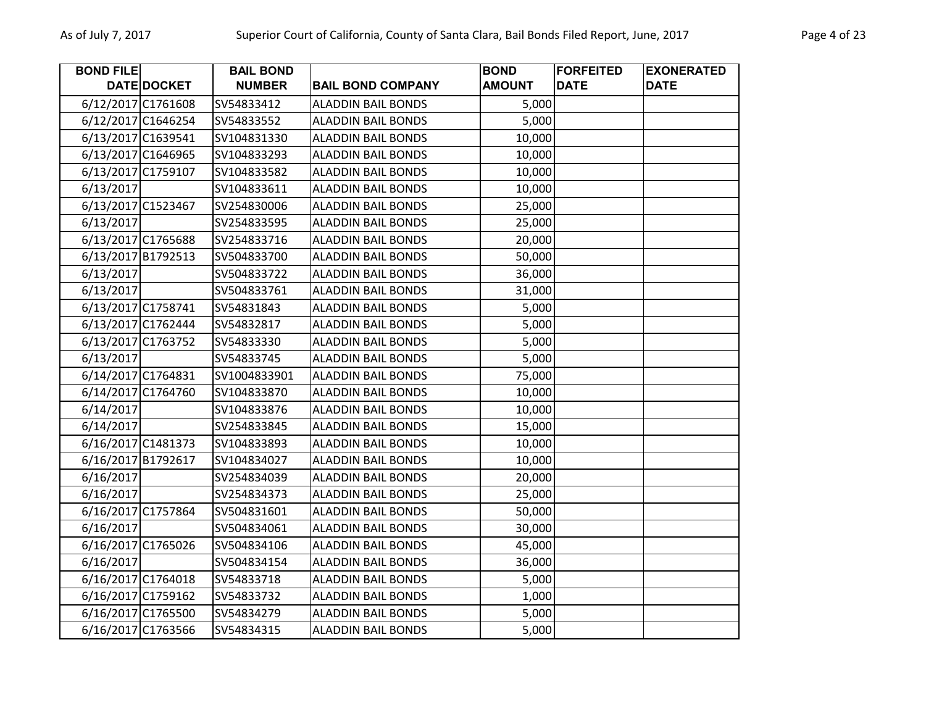| <b>BOND FILE</b>   |             | <b>BAIL BOND</b> |                           | <b>BOND</b>   | <b>FORFEITED</b> | <b>EXONERATED</b> |
|--------------------|-------------|------------------|---------------------------|---------------|------------------|-------------------|
|                    | DATE DOCKET | <b>NUMBER</b>    | <b>BAIL BOND COMPANY</b>  | <b>AMOUNT</b> | <b>DATE</b>      | <b>DATE</b>       |
| 6/12/2017 C1761608 |             | SV54833412       | <b>ALADDIN BAIL BONDS</b> | 5,000         |                  |                   |
| 6/12/2017 C1646254 |             | SV54833552       | <b>ALADDIN BAIL BONDS</b> | 5,000         |                  |                   |
| 6/13/2017 C1639541 |             | SV104831330      | <b>ALADDIN BAIL BONDS</b> | 10,000        |                  |                   |
| 6/13/2017 C1646965 |             | SV104833293      | <b>ALADDIN BAIL BONDS</b> | 10,000        |                  |                   |
| 6/13/2017 C1759107 |             | SV104833582      | <b>ALADDIN BAIL BONDS</b> | 10,000        |                  |                   |
| 6/13/2017          |             | SV104833611      | <b>ALADDIN BAIL BONDS</b> | 10,000        |                  |                   |
| 6/13/2017 C1523467 |             | SV254830006      | <b>ALADDIN BAIL BONDS</b> | 25,000        |                  |                   |
| 6/13/2017          |             | SV254833595      | <b>ALADDIN BAIL BONDS</b> | 25,000        |                  |                   |
| 6/13/2017 C1765688 |             | SV254833716      | <b>ALADDIN BAIL BONDS</b> | 20,000        |                  |                   |
| 6/13/2017 B1792513 |             | SV504833700      | <b>ALADDIN BAIL BONDS</b> | 50,000        |                  |                   |
| 6/13/2017          |             | SV504833722      | <b>ALADDIN BAIL BONDS</b> | 36,000        |                  |                   |
| 6/13/2017          |             | SV504833761      | <b>ALADDIN BAIL BONDS</b> | 31,000        |                  |                   |
| 6/13/2017 C1758741 |             | SV54831843       | <b>ALADDIN BAIL BONDS</b> | 5,000         |                  |                   |
| 6/13/2017 C1762444 |             | SV54832817       | <b>ALADDIN BAIL BONDS</b> | 5,000         |                  |                   |
| 6/13/2017 C1763752 |             | SV54833330       | <b>ALADDIN BAIL BONDS</b> | 5,000         |                  |                   |
| 6/13/2017          |             | SV54833745       | <b>ALADDIN BAIL BONDS</b> | 5,000         |                  |                   |
| 6/14/2017 C1764831 |             | SV1004833901     | <b>ALADDIN BAIL BONDS</b> | 75,000        |                  |                   |
| 6/14/2017 C1764760 |             | SV104833870      | <b>ALADDIN BAIL BONDS</b> | 10,000        |                  |                   |
| 6/14/2017          |             | SV104833876      | <b>ALADDIN BAIL BONDS</b> | 10,000        |                  |                   |
| 6/14/2017          |             | SV254833845      | <b>ALADDIN BAIL BONDS</b> | 15,000        |                  |                   |
| 6/16/2017 C1481373 |             | SV104833893      | <b>ALADDIN BAIL BONDS</b> | 10,000        |                  |                   |
| 6/16/2017 B1792617 |             | SV104834027      | <b>ALADDIN BAIL BONDS</b> | 10,000        |                  |                   |
| 6/16/2017          |             | SV254834039      | <b>ALADDIN BAIL BONDS</b> | 20,000        |                  |                   |
| 6/16/2017          |             | SV254834373      | <b>ALADDIN BAIL BONDS</b> | 25,000        |                  |                   |
| 6/16/2017 C1757864 |             | SV504831601      | <b>ALADDIN BAIL BONDS</b> | 50,000        |                  |                   |
| 6/16/2017          |             | SV504834061      | <b>ALADDIN BAIL BONDS</b> | 30,000        |                  |                   |
| 6/16/2017 C1765026 |             | SV504834106      | <b>ALADDIN BAIL BONDS</b> | 45,000        |                  |                   |
| 6/16/2017          |             | SV504834154      | <b>ALADDIN BAIL BONDS</b> | 36,000        |                  |                   |
| 6/16/2017 C1764018 |             | SV54833718       | <b>ALADDIN BAIL BONDS</b> | 5,000         |                  |                   |
| 6/16/2017 C1759162 |             | SV54833732       | <b>ALADDIN BAIL BONDS</b> | 1,000         |                  |                   |
| 6/16/2017 C1765500 |             | SV54834279       | <b>ALADDIN BAIL BONDS</b> | 5,000         |                  |                   |
| 6/16/2017 C1763566 |             | SV54834315       | <b>ALADDIN BAIL BONDS</b> | 5,000         |                  |                   |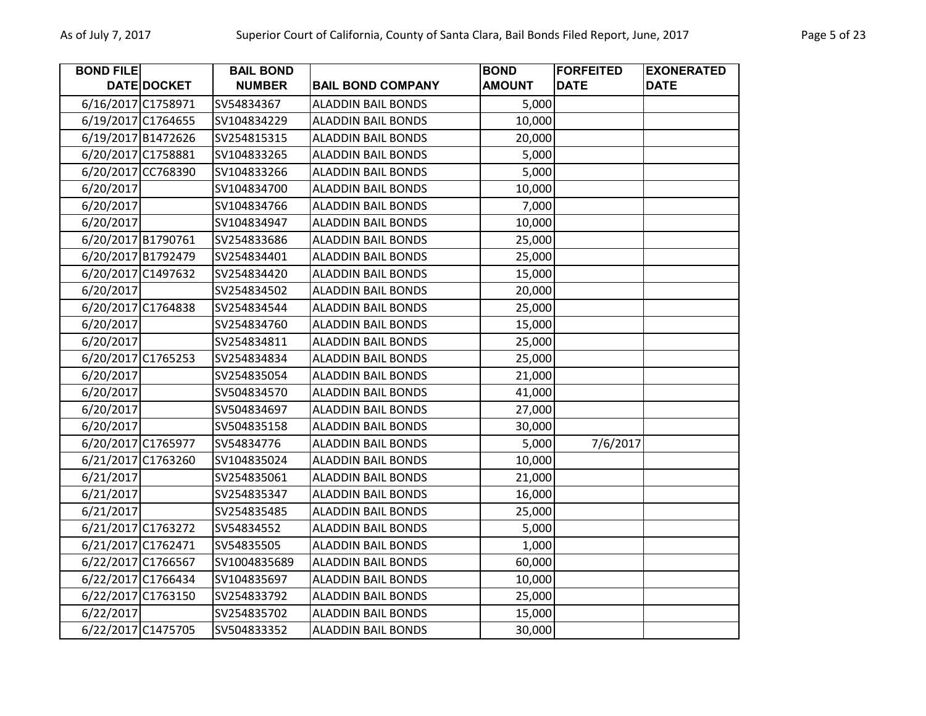| <b>BOND FILE</b>   |                    | <b>BAIL BOND</b> |                           | <b>BOND</b>   | <b>FORFEITED</b> | <b>EXONERATED</b> |
|--------------------|--------------------|------------------|---------------------------|---------------|------------------|-------------------|
|                    | <b>DATE DOCKET</b> | <b>NUMBER</b>    | <b>BAIL BOND COMPANY</b>  | <b>AMOUNT</b> | <b>DATE</b>      | <b>DATE</b>       |
| 6/16/2017 C1758971 |                    | SV54834367       | <b>ALADDIN BAIL BONDS</b> | 5,000         |                  |                   |
| 6/19/2017 C1764655 |                    | SV104834229      | <b>ALADDIN BAIL BONDS</b> | 10,000        |                  |                   |
| 6/19/2017 B1472626 |                    | SV254815315      | <b>ALADDIN BAIL BONDS</b> | 20,000        |                  |                   |
| 6/20/2017 C1758881 |                    | SV104833265      | <b>ALADDIN BAIL BONDS</b> | 5,000         |                  |                   |
| 6/20/2017 CC768390 |                    | SV104833266      | <b>ALADDIN BAIL BONDS</b> | 5,000         |                  |                   |
| 6/20/2017          |                    | SV104834700      | <b>ALADDIN BAIL BONDS</b> | 10,000        |                  |                   |
| 6/20/2017          |                    | SV104834766      | <b>ALADDIN BAIL BONDS</b> | 7,000         |                  |                   |
| 6/20/2017          |                    | SV104834947      | <b>ALADDIN BAIL BONDS</b> | 10,000        |                  |                   |
| 6/20/2017 B1790761 |                    | SV254833686      | <b>ALADDIN BAIL BONDS</b> | 25,000        |                  |                   |
| 6/20/2017 B1792479 |                    | SV254834401      | <b>ALADDIN BAIL BONDS</b> | 25,000        |                  |                   |
| 6/20/2017 C1497632 |                    | SV254834420      | <b>ALADDIN BAIL BONDS</b> | 15,000        |                  |                   |
| 6/20/2017          |                    | SV254834502      | <b>ALADDIN BAIL BONDS</b> | 20,000        |                  |                   |
| 6/20/2017 C1764838 |                    | SV254834544      | <b>ALADDIN BAIL BONDS</b> | 25,000        |                  |                   |
| 6/20/2017          |                    | SV254834760      | <b>ALADDIN BAIL BONDS</b> | 15,000        |                  |                   |
| 6/20/2017          |                    | SV254834811      | <b>ALADDIN BAIL BONDS</b> | 25,000        |                  |                   |
| 6/20/2017 C1765253 |                    | SV254834834      | <b>ALADDIN BAIL BONDS</b> | 25,000        |                  |                   |
| 6/20/2017          |                    | SV254835054      | <b>ALADDIN BAIL BONDS</b> | 21,000        |                  |                   |
| 6/20/2017          |                    | SV504834570      | <b>ALADDIN BAIL BONDS</b> | 41,000        |                  |                   |
| 6/20/2017          |                    | SV504834697      | <b>ALADDIN BAIL BONDS</b> | 27,000        |                  |                   |
| 6/20/2017          |                    | SV504835158      | <b>ALADDIN BAIL BONDS</b> | 30,000        |                  |                   |
| 6/20/2017 C1765977 |                    | SV54834776       | <b>ALADDIN BAIL BONDS</b> | 5,000         | 7/6/2017         |                   |
| 6/21/2017 C1763260 |                    | SV104835024      | <b>ALADDIN BAIL BONDS</b> | 10,000        |                  |                   |
| 6/21/2017          |                    | SV254835061      | <b>ALADDIN BAIL BONDS</b> | 21,000        |                  |                   |
| 6/21/2017          |                    | SV254835347      | <b>ALADDIN BAIL BONDS</b> | 16,000        |                  |                   |
| 6/21/2017          |                    | SV254835485      | <b>ALADDIN BAIL BONDS</b> | 25,000        |                  |                   |
| 6/21/2017 C1763272 |                    | SV54834552       | <b>ALADDIN BAIL BONDS</b> | 5,000         |                  |                   |
| 6/21/2017 C1762471 |                    | SV54835505       | <b>ALADDIN BAIL BONDS</b> | 1,000         |                  |                   |
| 6/22/2017 C1766567 |                    | SV1004835689     | <b>ALADDIN BAIL BONDS</b> | 60,000        |                  |                   |
| 6/22/2017 C1766434 |                    | SV104835697      | <b>ALADDIN BAIL BONDS</b> | 10,000        |                  |                   |
| 6/22/2017 C1763150 |                    | SV254833792      | <b>ALADDIN BAIL BONDS</b> | 25,000        |                  |                   |
| 6/22/2017          |                    | SV254835702      | <b>ALADDIN BAIL BONDS</b> | 15,000        |                  |                   |
| 6/22/2017 C1475705 |                    | SV504833352      | <b>ALADDIN BAIL BONDS</b> | 30,000        |                  |                   |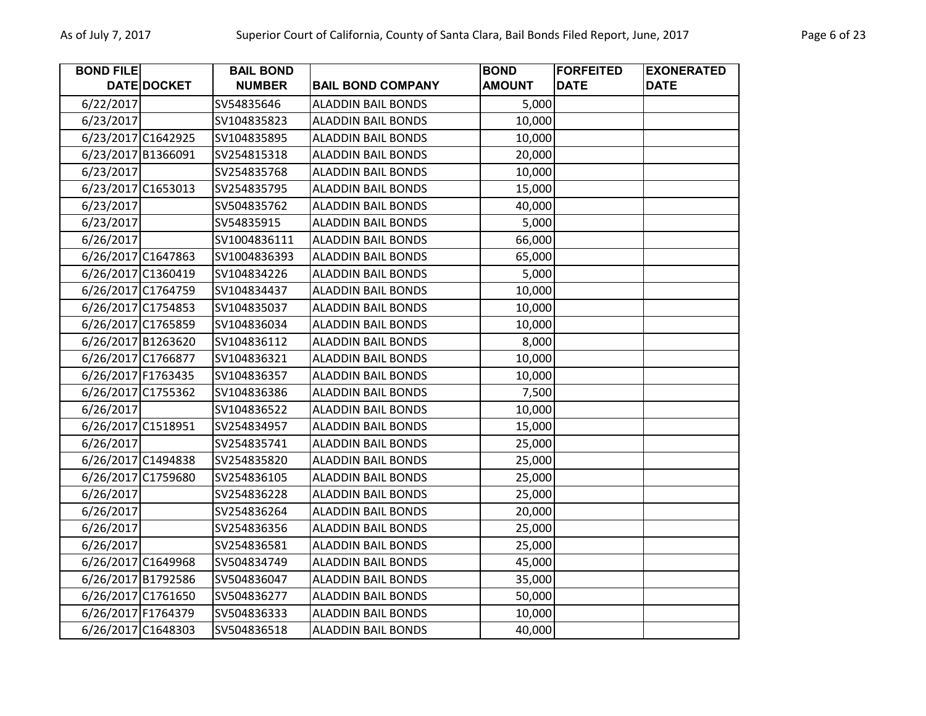**BOND FILE** 

6/22/2017

**DATEDOCKET** 

| Superior Court of California, County of Santa Clara, Bail Bonds Filed Report, June, 2017 |                                   |                           |                              |                                  |                                  |  |  |  |
|------------------------------------------------------------------------------------------|-----------------------------------|---------------------------|------------------------------|----------------------------------|----------------------------------|--|--|--|
|                                                                                          | <b>BAIL BOND</b><br><b>NUMBER</b> | <b>BAIL BOND COMPANY</b>  | <b>BOND</b><br><b>AMOUNT</b> | <b>FORFEITED</b><br><b>IDATE</b> | <b>EXONERATED</b><br><b>DATE</b> |  |  |  |
|                                                                                          | SV54835646                        | ALADDIN BAIL BONDS        | 5,000                        |                                  |                                  |  |  |  |
|                                                                                          | SV104835823                       | <b>ALADDIN BAIL BONDS</b> | 10,000                       |                                  |                                  |  |  |  |
|                                                                                          | SV104835895                       | ALADDIN BAIL BONDS        | 10,000                       |                                  |                                  |  |  |  |
|                                                                                          | SV254815318                       | ALADDIN BAIL BONDS        | 20,000                       |                                  |                                  |  |  |  |
|                                                                                          | SV254835768                       | <b>ALADDIN BAIL BONDS</b> | 10,000                       |                                  |                                  |  |  |  |
|                                                                                          | SV254835795                       | <b>ALADDIN BAIL BONDS</b> | 15,000                       |                                  |                                  |  |  |  |
|                                                                                          |                                   |                           |                              |                                  |                                  |  |  |  |

| 6/23/2017          | SV104835823  | <b>ALADDIN BAIL BONDS</b> | 10,000 |  |
|--------------------|--------------|---------------------------|--------|--|
| 6/23/2017 C1642925 | SV104835895  | <b>ALADDIN BAIL BONDS</b> | 10,000 |  |
| 6/23/2017 B1366091 | SV254815318  | <b>ALADDIN BAIL BONDS</b> | 20,000 |  |
| 6/23/2017          | SV254835768  | <b>ALADDIN BAIL BONDS</b> | 10,000 |  |
| 6/23/2017 C1653013 | SV254835795  | <b>ALADDIN BAIL BONDS</b> | 15,000 |  |
| 6/23/2017          | SV504835762  | <b>ALADDIN BAIL BONDS</b> | 40,000 |  |
| 6/23/2017          | SV54835915   | <b>ALADDIN BAIL BONDS</b> | 5,000  |  |
| 6/26/2017          | SV1004836111 | <b>ALADDIN BAIL BONDS</b> | 66,000 |  |
| 6/26/2017 C1647863 | SV1004836393 | <b>ALADDIN BAIL BONDS</b> | 65,000 |  |
| 6/26/2017 C1360419 | SV104834226  | <b>ALADDIN BAIL BONDS</b> | 5,000  |  |
| 6/26/2017 C1764759 | SV104834437  | <b>ALADDIN BAIL BONDS</b> | 10,000 |  |
| 6/26/2017 C1754853 | SV104835037  | <b>ALADDIN BAIL BONDS</b> | 10,000 |  |
| 6/26/2017 C1765859 | SV104836034  | <b>ALADDIN BAIL BONDS</b> | 10,000 |  |
| 6/26/2017 B1263620 | SV104836112  | <b>ALADDIN BAIL BONDS</b> | 8,000  |  |
| 6/26/2017 C1766877 | SV104836321  | <b>ALADDIN BAIL BONDS</b> | 10,000 |  |
| 6/26/2017 F1763435 | SV104836357  | <b>ALADDIN BAIL BONDS</b> | 10,000 |  |
| 6/26/2017 C1755362 | SV104836386  | <b>ALADDIN BAIL BONDS</b> | 7,500  |  |
| 6/26/2017          | SV104836522  | <b>ALADDIN BAIL BONDS</b> | 10,000 |  |
| 6/26/2017 C1518951 | SV254834957  | <b>ALADDIN BAIL BONDS</b> | 15,000 |  |
| 6/26/2017          | SV254835741  | <b>ALADDIN BAIL BONDS</b> | 25,000 |  |
| 6/26/2017 C1494838 | SV254835820  | <b>ALADDIN BAIL BONDS</b> | 25,000 |  |
| 6/26/2017 C1759680 | SV254836105  | <b>ALADDIN BAIL BONDS</b> | 25,000 |  |
| 6/26/2017          | SV254836228  | <b>ALADDIN BAIL BONDS</b> | 25,000 |  |
| 6/26/2017          | SV254836264  | <b>ALADDIN BAIL BONDS</b> | 20,000 |  |
| 6/26/2017          | SV254836356  | <b>ALADDIN BAIL BONDS</b> | 25,000 |  |
| 6/26/2017          | SV254836581  | <b>ALADDIN BAIL BONDS</b> | 25,000 |  |
| 6/26/2017 C1649968 | SV504834749  | <b>ALADDIN BAIL BONDS</b> | 45,000 |  |
| 6/26/2017 B1792586 | SV504836047  | <b>ALADDIN BAIL BONDS</b> | 35,000 |  |
| 6/26/2017 C1761650 | SV504836277  | <b>ALADDIN BAIL BONDS</b> | 50,000 |  |
| 6/26/2017 F1764379 | SV504836333  | <b>ALADDIN BAIL BONDS</b> | 10,000 |  |
| 6/26/2017 C1648303 | SV504836518  | <b>ALADDIN BAIL BONDS</b> | 40,000 |  |
|                    |              |                           |        |  |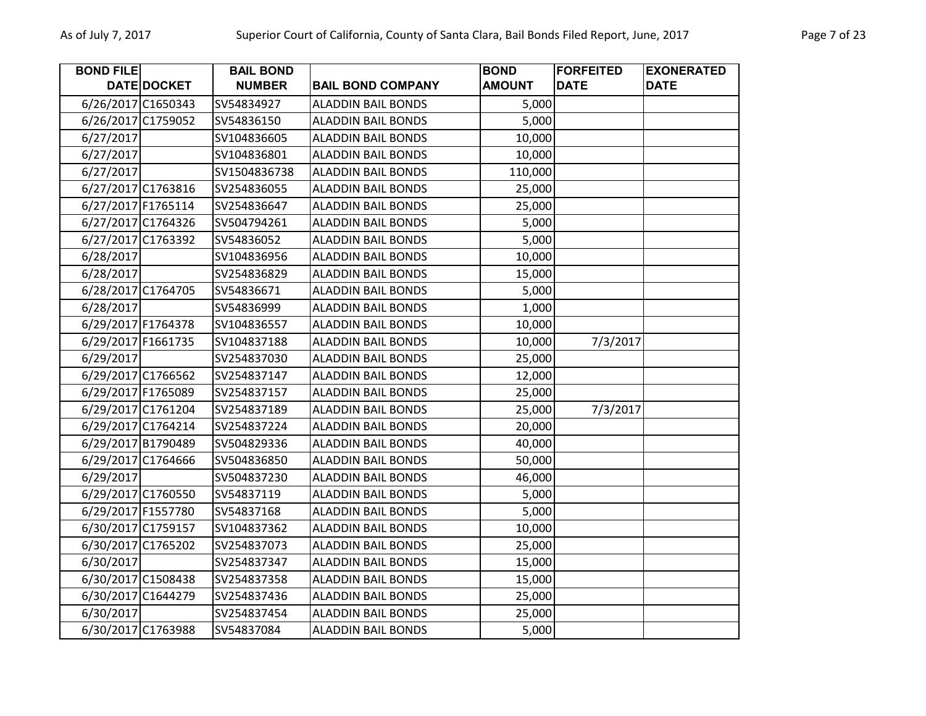| <b>BOND FILE</b>   |             | <b>BAIL BOND</b> |                           | <b>BOND</b>   | <b>FORFEITED</b> | <b>EXONERATED</b> |
|--------------------|-------------|------------------|---------------------------|---------------|------------------|-------------------|
|                    | DATE DOCKET | <b>NUMBER</b>    | <b>BAIL BOND COMPANY</b>  | <b>AMOUNT</b> | <b>DATE</b>      | <b>DATE</b>       |
| 6/26/2017 C1650343 |             | SV54834927       | <b>ALADDIN BAIL BONDS</b> | 5,000         |                  |                   |
| 6/26/2017 C1759052 |             | SV54836150       | <b>ALADDIN BAIL BONDS</b> | 5,000         |                  |                   |
| 6/27/2017          |             | SV104836605      | <b>ALADDIN BAIL BONDS</b> | 10,000        |                  |                   |
| 6/27/2017          |             | SV104836801      | <b>ALADDIN BAIL BONDS</b> | 10,000        |                  |                   |
| 6/27/2017          |             | SV1504836738     | <b>ALADDIN BAIL BONDS</b> | 110,000       |                  |                   |
| 6/27/2017 C1763816 |             | SV254836055      | <b>ALADDIN BAIL BONDS</b> | 25,000        |                  |                   |
| 6/27/2017 F1765114 |             | SV254836647      | <b>ALADDIN BAIL BONDS</b> | 25,000        |                  |                   |
| 6/27/2017 C1764326 |             | SV504794261      | <b>ALADDIN BAIL BONDS</b> | 5,000         |                  |                   |
| 6/27/2017 C1763392 |             | SV54836052       | <b>ALADDIN BAIL BONDS</b> | 5,000         |                  |                   |
| 6/28/2017          |             | SV104836956      | <b>ALADDIN BAIL BONDS</b> | 10,000        |                  |                   |
| 6/28/2017          |             | SV254836829      | <b>ALADDIN BAIL BONDS</b> | 15,000        |                  |                   |
| 6/28/2017 C1764705 |             | SV54836671       | <b>ALADDIN BAIL BONDS</b> | 5,000         |                  |                   |
| 6/28/2017          |             | SV54836999       | <b>ALADDIN BAIL BONDS</b> | 1,000         |                  |                   |
| 6/29/2017 F1764378 |             | SV104836557      | <b>ALADDIN BAIL BONDS</b> | 10,000        |                  |                   |
| 6/29/2017 F1661735 |             | SV104837188      | <b>ALADDIN BAIL BONDS</b> | 10,000        | 7/3/2017         |                   |
| 6/29/2017          |             | SV254837030      | <b>ALADDIN BAIL BONDS</b> | 25,000        |                  |                   |
| 6/29/2017 C1766562 |             | SV254837147      | <b>ALADDIN BAIL BONDS</b> | 12,000        |                  |                   |
| 6/29/2017 F1765089 |             | SV254837157      | <b>ALADDIN BAIL BONDS</b> | 25,000        |                  |                   |
| 6/29/2017 C1761204 |             | SV254837189      | <b>ALADDIN BAIL BONDS</b> | 25,000        | 7/3/2017         |                   |
| 6/29/2017 C1764214 |             | SV254837224      | <b>ALADDIN BAIL BONDS</b> | 20,000        |                  |                   |
| 6/29/2017 B1790489 |             | SV504829336      | <b>ALADDIN BAIL BONDS</b> | 40,000        |                  |                   |
| 6/29/2017 C1764666 |             | SV504836850      | <b>ALADDIN BAIL BONDS</b> | 50,000        |                  |                   |
| 6/29/2017          |             | SV504837230      | <b>ALADDIN BAIL BONDS</b> | 46,000        |                  |                   |
| 6/29/2017 C1760550 |             | SV54837119       | <b>ALADDIN BAIL BONDS</b> | 5,000         |                  |                   |
| 6/29/2017 F1557780 |             | SV54837168       | <b>ALADDIN BAIL BONDS</b> | 5,000         |                  |                   |
| 6/30/2017 C1759157 |             | SV104837362      | <b>ALADDIN BAIL BONDS</b> | 10,000        |                  |                   |
| 6/30/2017 C1765202 |             | SV254837073      | <b>ALADDIN BAIL BONDS</b> | 25,000        |                  |                   |
| 6/30/2017          |             | SV254837347      | <b>ALADDIN BAIL BONDS</b> | 15,000        |                  |                   |
| 6/30/2017 C1508438 |             | SV254837358      | <b>ALADDIN BAIL BONDS</b> | 15,000        |                  |                   |
| 6/30/2017 C1644279 |             | SV254837436      | <b>ALADDIN BAIL BONDS</b> | 25,000        |                  |                   |
| 6/30/2017          |             | SV254837454      | <b>ALADDIN BAIL BONDS</b> | 25,000        |                  |                   |
| 6/30/2017 C1763988 |             | SV54837084       | <b>ALADDIN BAIL BONDS</b> | 5,000         |                  |                   |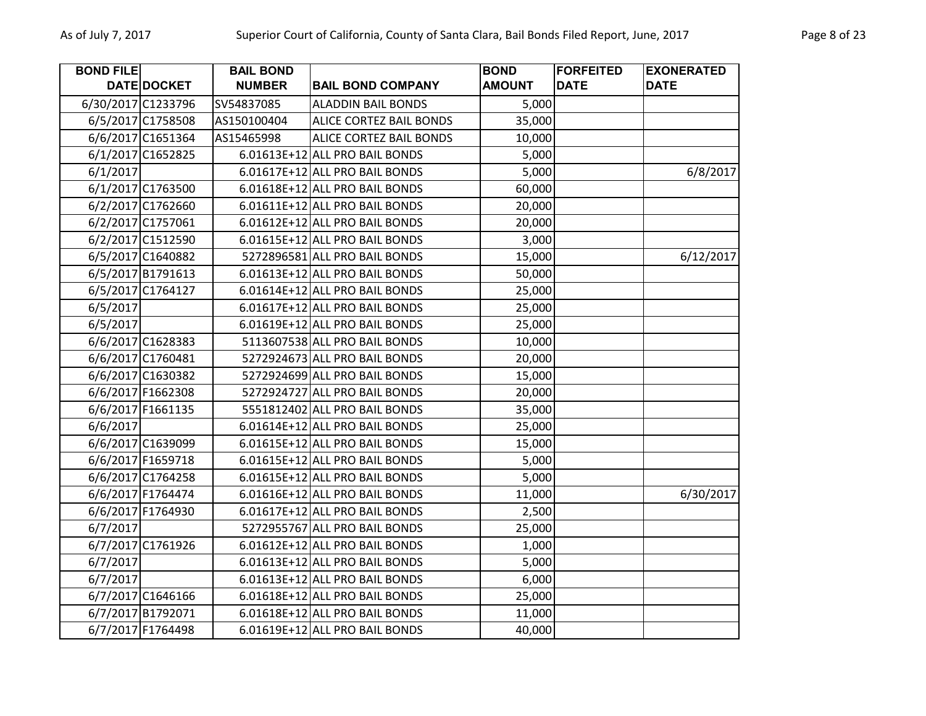| <b>BOND FILE</b> |                    | <b>BAIL BOND</b> |                                | <b>BOND</b>   | <b>FORFEITED</b> | <b>EXONERATED</b> |
|------------------|--------------------|------------------|--------------------------------|---------------|------------------|-------------------|
|                  | DATE DOCKET        | <b>NUMBER</b>    | <b>BAIL BOND COMPANY</b>       | <b>AMOUNT</b> | <b>DATE</b>      | <b>DATE</b>       |
|                  | 6/30/2017 C1233796 | SV54837085       | <b>ALADDIN BAIL BONDS</b>      | 5,000         |                  |                   |
|                  | 6/5/2017 C1758508  | AS150100404      | <b>ALICE CORTEZ BAIL BONDS</b> | 35,000        |                  |                   |
|                  | 6/6/2017 C1651364  | AS15465998       | ALICE CORTEZ BAIL BONDS        | 10,000        |                  |                   |
|                  | 6/1/2017 C1652825  |                  | 6.01613E+12 ALL PRO BAIL BONDS | 5,000         |                  |                   |
| 6/1/2017         |                    |                  | 6.01617E+12 ALL PRO BAIL BONDS | 5,000         |                  | 6/8/2017          |
|                  | 6/1/2017 C1763500  |                  | 6.01618E+12 ALL PRO BAIL BONDS | 60,000        |                  |                   |
|                  | 6/2/2017 C1762660  |                  | 6.01611E+12 ALL PRO BAIL BONDS | 20,000        |                  |                   |
|                  | 6/2/2017 C1757061  |                  | 6.01612E+12 ALL PRO BAIL BONDS | 20,000        |                  |                   |
|                  | 6/2/2017 C1512590  |                  | 6.01615E+12 ALL PRO BAIL BONDS | 3,000         |                  |                   |
|                  | 6/5/2017 C1640882  |                  | 5272896581 ALL PRO BAIL BONDS  | 15,000        |                  | 6/12/2017         |
|                  | 6/5/2017 B1791613  |                  | 6.01613E+12 ALL PRO BAIL BONDS | 50,000        |                  |                   |
|                  | 6/5/2017 C1764127  |                  | 6.01614E+12 ALL PRO BAIL BONDS | 25,000        |                  |                   |
| 6/5/2017         |                    |                  | 6.01617E+12 ALL PRO BAIL BONDS | 25,000        |                  |                   |
| 6/5/2017         |                    |                  | 6.01619E+12 ALL PRO BAIL BONDS | 25,000        |                  |                   |
|                  | 6/6/2017 C1628383  |                  | 5113607538 ALL PRO BAIL BONDS  | 10,000        |                  |                   |
|                  | 6/6/2017 C1760481  |                  | 5272924673 ALL PRO BAIL BONDS  | 20,000        |                  |                   |
|                  | 6/6/2017 C1630382  |                  | 5272924699 ALL PRO BAIL BONDS  | 15,000        |                  |                   |
|                  | 6/6/2017 F1662308  |                  | 5272924727 ALL PRO BAIL BONDS  | 20,000        |                  |                   |
|                  | 6/6/2017 F1661135  |                  | 5551812402 ALL PRO BAIL BONDS  | 35,000        |                  |                   |
| 6/6/2017         |                    |                  | 6.01614E+12 ALL PRO BAIL BONDS | 25,000        |                  |                   |
|                  | 6/6/2017 C1639099  |                  | 6.01615E+12 ALL PRO BAIL BONDS | 15,000        |                  |                   |
|                  | 6/6/2017 F1659718  |                  | 6.01615E+12 ALL PRO BAIL BONDS | 5,000         |                  |                   |
|                  | 6/6/2017 C1764258  |                  | 6.01615E+12 ALL PRO BAIL BONDS | 5,000         |                  |                   |
|                  | 6/6/2017 F1764474  |                  | 6.01616E+12 ALL PRO BAIL BONDS | 11,000        |                  | 6/30/2017         |
|                  | 6/6/2017 F1764930  |                  | 6.01617E+12 ALL PRO BAIL BONDS | 2,500         |                  |                   |
| 6/7/2017         |                    |                  | 5272955767 ALL PRO BAIL BONDS  | 25,000        |                  |                   |
|                  | 6/7/2017 C1761926  |                  | 6.01612E+12 ALL PRO BAIL BONDS | 1,000         |                  |                   |
| 6/7/2017         |                    |                  | 6.01613E+12 ALL PRO BAIL BONDS | 5,000         |                  |                   |
| 6/7/2017         |                    |                  | 6.01613E+12 ALL PRO BAIL BONDS | 6,000         |                  |                   |
|                  | 6/7/2017 C1646166  |                  | 6.01618E+12 ALL PRO BAIL BONDS | 25,000        |                  |                   |
|                  | 6/7/2017 B1792071  |                  | 6.01618E+12 ALL PRO BAIL BONDS | 11,000        |                  |                   |
|                  | 6/7/2017 F1764498  |                  | 6.01619E+12 ALL PRO BAIL BONDS | 40,000        |                  |                   |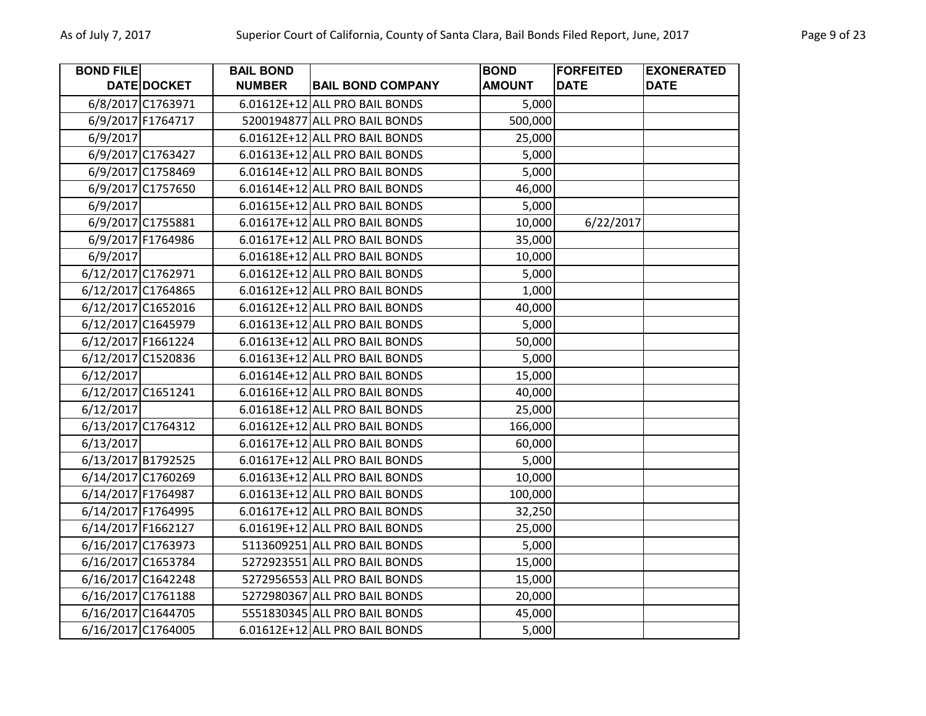| <b>BOND FILE</b>   |                   | <b>BAIL BOND</b> |                                | <b>BOND</b>   | <b>FORFEITED</b> | <b>EXONERATED</b> |
|--------------------|-------------------|------------------|--------------------------------|---------------|------------------|-------------------|
|                    | DATE DOCKET       | <b>NUMBER</b>    | <b>BAIL BOND COMPANY</b>       | <b>AMOUNT</b> | <b>DATE</b>      | <b>DATE</b>       |
|                    | 6/8/2017 C1763971 |                  | 6.01612E+12 ALL PRO BAIL BONDS | 5,000         |                  |                   |
|                    | 6/9/2017 F1764717 |                  | 5200194877 ALL PRO BAIL BONDS  | 500,000       |                  |                   |
| 6/9/2017           |                   |                  | 6.01612E+12 ALL PRO BAIL BONDS | 25,000        |                  |                   |
|                    | 6/9/2017 C1763427 |                  | 6.01613E+12 ALL PRO BAIL BONDS | 5,000         |                  |                   |
|                    | 6/9/2017 C1758469 |                  | 6.01614E+12 ALL PRO BAIL BONDS | 5,000         |                  |                   |
|                    | 6/9/2017 C1757650 |                  | 6.01614E+12 ALL PRO BAIL BONDS | 46,000        |                  |                   |
| 6/9/2017           |                   |                  | 6.01615E+12 ALL PRO BAIL BONDS | 5,000         |                  |                   |
|                    | 6/9/2017 C1755881 |                  | 6.01617E+12 ALL PRO BAIL BONDS | 10,000        | 6/22/2017        |                   |
|                    | 6/9/2017 F1764986 |                  | 6.01617E+12 ALL PRO BAIL BONDS | 35,000        |                  |                   |
| 6/9/2017           |                   |                  | 6.01618E+12 ALL PRO BAIL BONDS | 10,000        |                  |                   |
| 6/12/2017 C1762971 |                   |                  | 6.01612E+12 ALL PRO BAIL BONDS | 5,000         |                  |                   |
| 6/12/2017 C1764865 |                   |                  | 6.01612E+12 ALL PRO BAIL BONDS | 1,000         |                  |                   |
| 6/12/2017 C1652016 |                   |                  | 6.01612E+12 ALL PRO BAIL BONDS | 40,000        |                  |                   |
| 6/12/2017 C1645979 |                   |                  | 6.01613E+12 ALL PRO BAIL BONDS | 5,000         |                  |                   |
| 6/12/2017 F1661224 |                   |                  | 6.01613E+12 ALL PRO BAIL BONDS | 50,000        |                  |                   |
| 6/12/2017 C1520836 |                   |                  | 6.01613E+12 ALL PRO BAIL BONDS | 5,000         |                  |                   |
| 6/12/2017          |                   |                  | 6.01614E+12 ALL PRO BAIL BONDS | 15,000        |                  |                   |
| 6/12/2017 C1651241 |                   |                  | 6.01616E+12 ALL PRO BAIL BONDS | 40,000        |                  |                   |
| 6/12/2017          |                   |                  | 6.01618E+12 ALL PRO BAIL BONDS | 25,000        |                  |                   |
| 6/13/2017 C1764312 |                   |                  | 6.01612E+12 ALL PRO BAIL BONDS | 166,000       |                  |                   |
| 6/13/2017          |                   |                  | 6.01617E+12 ALL PRO BAIL BONDS | 60,000        |                  |                   |
| 6/13/2017 B1792525 |                   |                  | 6.01617E+12 ALL PRO BAIL BONDS | 5,000         |                  |                   |
| 6/14/2017 C1760269 |                   |                  | 6.01613E+12 ALL PRO BAIL BONDS | 10,000        |                  |                   |
| 6/14/2017 F1764987 |                   |                  | 6.01613E+12 ALL PRO BAIL BONDS | 100,000       |                  |                   |
| 6/14/2017 F1764995 |                   |                  | 6.01617E+12 ALL PRO BAIL BONDS | 32,250        |                  |                   |
| 6/14/2017 F1662127 |                   |                  | 6.01619E+12 ALL PRO BAIL BONDS | 25,000        |                  |                   |
| 6/16/2017 C1763973 |                   |                  | 5113609251 ALL PRO BAIL BONDS  | 5,000         |                  |                   |
| 6/16/2017 C1653784 |                   |                  | 5272923551 ALL PRO BAIL BONDS  | 15,000        |                  |                   |
| 6/16/2017 C1642248 |                   |                  | 5272956553 ALL PRO BAIL BONDS  | 15,000        |                  |                   |
| 6/16/2017 C1761188 |                   |                  | 5272980367 ALL PRO BAIL BONDS  | 20,000        |                  |                   |
| 6/16/2017 C1644705 |                   |                  | 5551830345 ALL PRO BAIL BONDS  | 45,000        |                  |                   |
| 6/16/2017 C1764005 |                   |                  | 6.01612E+12 ALL PRO BAIL BONDS | 5,000         |                  |                   |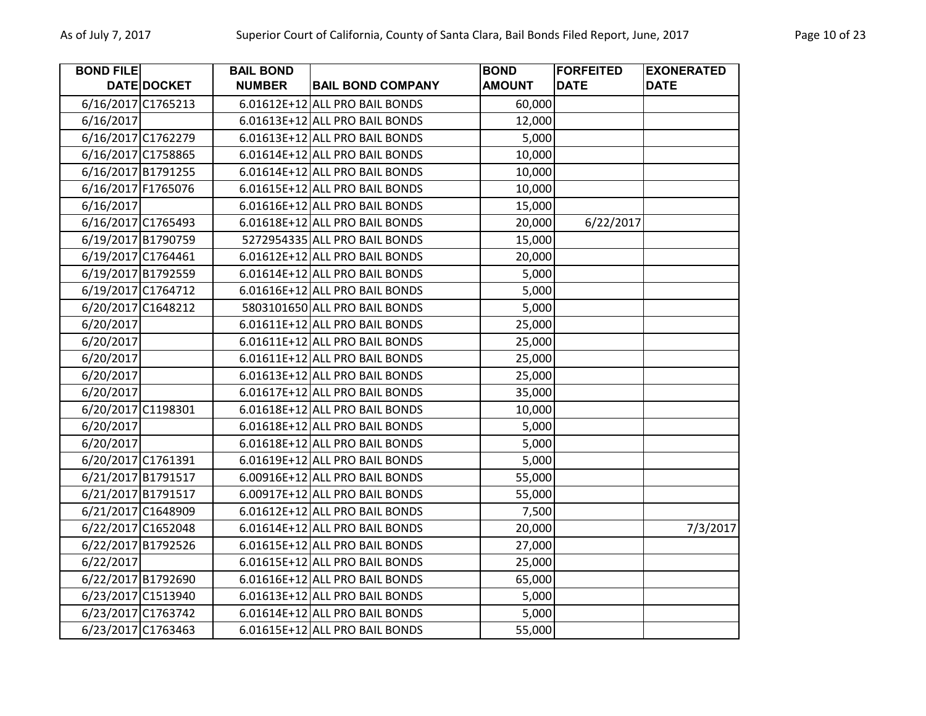| <b>BOND FILE</b> |                    | <b>BAIL BOND</b> |                                | <b>BOND</b>   | <b>FORFEITED</b> | <b>EXONERATED</b> |
|------------------|--------------------|------------------|--------------------------------|---------------|------------------|-------------------|
|                  | DATE DOCKET        | <b>NUMBER</b>    | <b>BAIL BOND COMPANY</b>       | <b>AMOUNT</b> | <b>DATE</b>      | <b>DATE</b>       |
|                  | 6/16/2017 C1765213 |                  | 6.01612E+12 ALL PRO BAIL BONDS | 60,000        |                  |                   |
| 6/16/2017        |                    |                  | 6.01613E+12 ALL PRO BAIL BONDS | 12,000        |                  |                   |
|                  | 6/16/2017 C1762279 |                  | 6.01613E+12 ALL PRO BAIL BONDS | 5,000         |                  |                   |
|                  | 6/16/2017 C1758865 |                  | 6.01614E+12 ALL PRO BAIL BONDS | 10,000        |                  |                   |
|                  | 6/16/2017 B1791255 |                  | 6.01614E+12 ALL PRO BAIL BONDS | 10,000        |                  |                   |
|                  | 6/16/2017 F1765076 |                  | 6.01615E+12 ALL PRO BAIL BONDS | 10,000        |                  |                   |
| 6/16/2017        |                    |                  | 6.01616E+12 ALL PRO BAIL BONDS | 15,000        |                  |                   |
|                  | 6/16/2017 C1765493 |                  | 6.01618E+12 ALL PRO BAIL BONDS | 20,000        | 6/22/2017        |                   |
|                  | 6/19/2017 B1790759 |                  | 5272954335 ALL PRO BAIL BONDS  | 15,000        |                  |                   |
|                  | 6/19/2017 C1764461 |                  | 6.01612E+12 ALL PRO BAIL BONDS | 20,000        |                  |                   |
|                  | 6/19/2017 B1792559 |                  | 6.01614E+12 ALL PRO BAIL BONDS | 5,000         |                  |                   |
|                  | 6/19/2017 C1764712 |                  | 6.01616E+12 ALL PRO BAIL BONDS | 5,000         |                  |                   |
|                  | 6/20/2017 C1648212 |                  | 5803101650 ALL PRO BAIL BONDS  | 5,000         |                  |                   |
| 6/20/2017        |                    |                  | 6.01611E+12 ALL PRO BAIL BONDS | 25,000        |                  |                   |
| 6/20/2017        |                    |                  | 6.01611E+12 ALL PRO BAIL BONDS | 25,000        |                  |                   |
| 6/20/2017        |                    |                  | 6.01611E+12 ALL PRO BAIL BONDS | 25,000        |                  |                   |
| 6/20/2017        |                    |                  | 6.01613E+12 ALL PRO BAIL BONDS | 25,000        |                  |                   |
| 6/20/2017        |                    |                  | 6.01617E+12 ALL PRO BAIL BONDS | 35,000        |                  |                   |
|                  | 6/20/2017 C1198301 |                  | 6.01618E+12 ALL PRO BAIL BONDS | 10,000        |                  |                   |
| 6/20/2017        |                    |                  | 6.01618E+12 ALL PRO BAIL BONDS | 5,000         |                  |                   |
| 6/20/2017        |                    |                  | 6.01618E+12 ALL PRO BAIL BONDS | 5,000         |                  |                   |
|                  | 6/20/2017 C1761391 |                  | 6.01619E+12 ALL PRO BAIL BONDS | 5,000         |                  |                   |
|                  | 6/21/2017 B1791517 |                  | 6.00916E+12 ALL PRO BAIL BONDS | 55,000        |                  |                   |
|                  | 6/21/2017 B1791517 |                  | 6.00917E+12 ALL PRO BAIL BONDS | 55,000        |                  |                   |
|                  | 6/21/2017 C1648909 |                  | 6.01612E+12 ALL PRO BAIL BONDS | 7,500         |                  |                   |
|                  | 6/22/2017 C1652048 |                  | 6.01614E+12 ALL PRO BAIL BONDS | 20,000        |                  | 7/3/2017          |
|                  | 6/22/2017 B1792526 |                  | 6.01615E+12 ALL PRO BAIL BONDS | 27,000        |                  |                   |
| 6/22/2017        |                    |                  | 6.01615E+12 ALL PRO BAIL BONDS | 25,000        |                  |                   |
|                  | 6/22/2017 B1792690 |                  | 6.01616E+12 ALL PRO BAIL BONDS | 65,000        |                  |                   |
|                  | 6/23/2017 C1513940 |                  | 6.01613E+12 ALL PRO BAIL BONDS | 5,000         |                  |                   |
|                  | 6/23/2017 C1763742 |                  | 6.01614E+12 ALL PRO BAIL BONDS | 5,000         |                  |                   |
|                  | 6/23/2017 C1763463 |                  | 6.01615E+12 ALL PRO BAIL BONDS | 55,000        |                  |                   |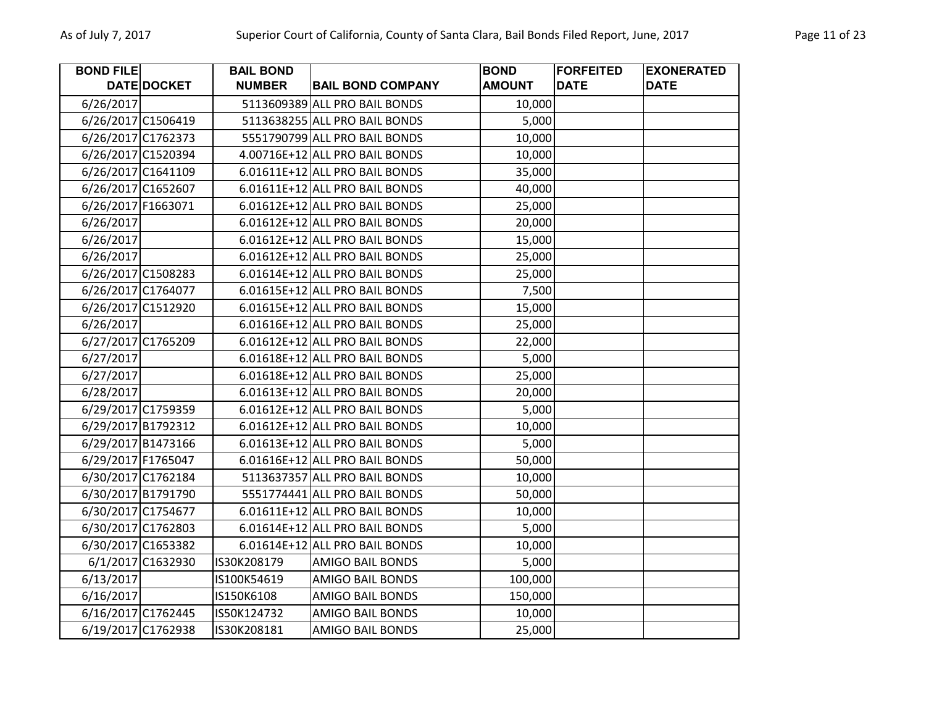| <b>BOND FILE</b>   |                    | <b>BAIL BOND</b> |                                | <b>BOND</b>   | <b>FORFEITED</b> | <b>EXONERATED</b> |
|--------------------|--------------------|------------------|--------------------------------|---------------|------------------|-------------------|
|                    | DATE DOCKET        | <b>NUMBER</b>    | <b>BAIL BOND COMPANY</b>       | <b>AMOUNT</b> | <b>DATE</b>      | <b>DATE</b>       |
| 6/26/2017          |                    |                  | 5113609389 ALL PRO BAIL BONDS  | 10,000        |                  |                   |
| 6/26/2017 C1506419 |                    |                  | 5113638255 ALL PRO BAIL BONDS  | 5,000         |                  |                   |
|                    | 6/26/2017 C1762373 |                  | 5551790799 ALL PRO BAIL BONDS  | 10,000        |                  |                   |
|                    | 6/26/2017 C1520394 |                  | 4.00716E+12 ALL PRO BAIL BONDS | 10,000        |                  |                   |
|                    | 6/26/2017 C1641109 |                  | 6.01611E+12 ALL PRO BAIL BONDS | 35,000        |                  |                   |
|                    | 6/26/2017 C1652607 |                  | 6.01611E+12 ALL PRO BAIL BONDS | 40,000        |                  |                   |
| 6/26/2017 F1663071 |                    |                  | 6.01612E+12 ALL PRO BAIL BONDS | 25,000        |                  |                   |
| 6/26/2017          |                    |                  | 6.01612E+12 ALL PRO BAIL BONDS | 20,000        |                  |                   |
| 6/26/2017          |                    |                  | 6.01612E+12 ALL PRO BAIL BONDS | 15,000        |                  |                   |
| 6/26/2017          |                    |                  | 6.01612E+12 ALL PRO BAIL BONDS | 25,000        |                  |                   |
|                    | 6/26/2017 C1508283 |                  | 6.01614E+12 ALL PRO BAIL BONDS | 25,000        |                  |                   |
|                    | 6/26/2017 C1764077 |                  | 6.01615E+12 ALL PRO BAIL BONDS | 7,500         |                  |                   |
|                    | 6/26/2017 C1512920 |                  | 6.01615E+12 ALL PRO BAIL BONDS | 15,000        |                  |                   |
| 6/26/2017          |                    |                  | 6.01616E+12 ALL PRO BAIL BONDS | 25,000        |                  |                   |
|                    | 6/27/2017 C1765209 |                  | 6.01612E+12 ALL PRO BAIL BONDS | 22,000        |                  |                   |
| 6/27/2017          |                    |                  | 6.01618E+12 ALL PRO BAIL BONDS | 5,000         |                  |                   |
| 6/27/2017          |                    |                  | 6.01618E+12 ALL PRO BAIL BONDS | 25,000        |                  |                   |
| 6/28/2017          |                    |                  | 6.01613E+12 ALL PRO BAIL BONDS | 20,000        |                  |                   |
|                    | 6/29/2017 C1759359 |                  | 6.01612E+12 ALL PRO BAIL BONDS | 5,000         |                  |                   |
|                    | 6/29/2017 B1792312 |                  | 6.01612E+12 ALL PRO BAIL BONDS | 10,000        |                  |                   |
|                    | 6/29/2017 B1473166 |                  | 6.01613E+12 ALL PRO BAIL BONDS | 5,000         |                  |                   |
| 6/29/2017 F1765047 |                    |                  | 6.01616E+12 ALL PRO BAIL BONDS | 50,000        |                  |                   |
|                    | 6/30/2017 C1762184 |                  | 5113637357 ALL PRO BAIL BONDS  | 10,000        |                  |                   |
|                    | 6/30/2017 B1791790 |                  | 5551774441 ALL PRO BAIL BONDS  | 50,000        |                  |                   |
|                    | 6/30/2017 C1754677 |                  | 6.01611E+12 ALL PRO BAIL BONDS | 10,000        |                  |                   |
|                    | 6/30/2017 C1762803 |                  | 6.01614E+12 ALL PRO BAIL BONDS | 5,000         |                  |                   |
|                    | 6/30/2017 C1653382 |                  | 6.01614E+12 ALL PRO BAIL BONDS | 10,000        |                  |                   |
|                    | 6/1/2017 C1632930  | IS30K208179      | <b>AMIGO BAIL BONDS</b>        | 5,000         |                  |                   |
| 6/13/2017          |                    | IS100K54619      | <b>AMIGO BAIL BONDS</b>        | 100,000       |                  |                   |
| 6/16/2017          |                    | IS150K6108       | <b>AMIGO BAIL BONDS</b>        | 150,000       |                  |                   |
|                    | 6/16/2017 C1762445 | IS50K124732      | AMIGO BAIL BONDS               | 10,000        |                  |                   |
|                    | 6/19/2017 C1762938 | IS30K208181      | <b>AMIGO BAIL BONDS</b>        | 25,000        |                  |                   |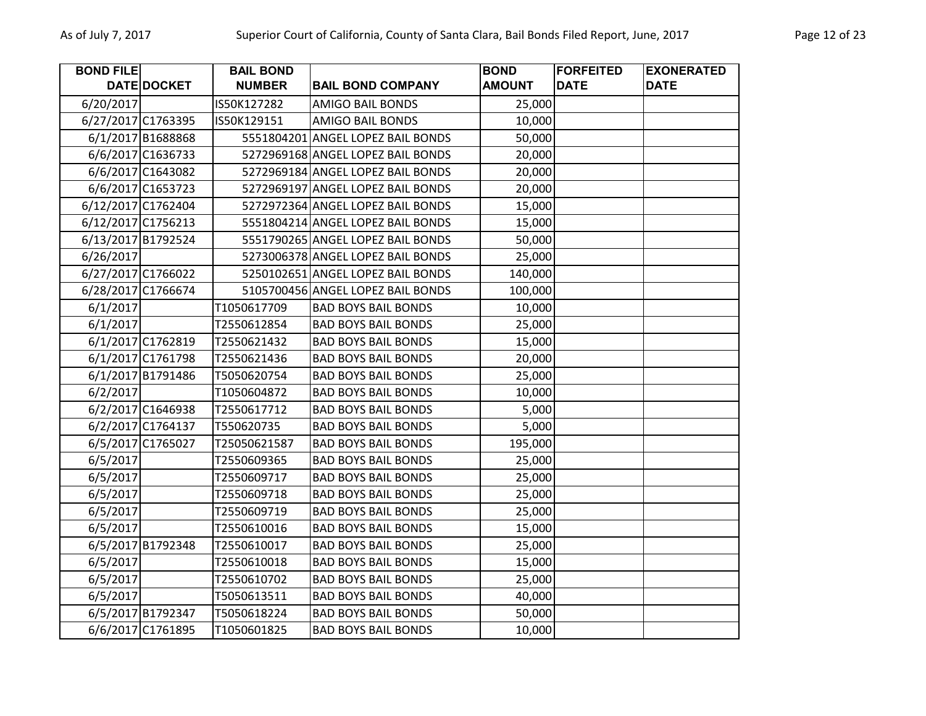| <b>BOND FILE</b>   |                    | <b>BAIL BOND</b> |                                   | <b>BOND</b>   | <b>FORFEITED</b> | <b>EXONERATED</b> |
|--------------------|--------------------|------------------|-----------------------------------|---------------|------------------|-------------------|
|                    | DATE DOCKET        | <b>NUMBER</b>    | <b>BAIL BOND COMPANY</b>          | <b>AMOUNT</b> | <b>DATE</b>      | <b>DATE</b>       |
| 6/20/2017          |                    | IS50K127282      | <b>AMIGO BAIL BONDS</b>           | 25,000        |                  |                   |
| 6/27/2017 C1763395 |                    | IS50K129151      | <b>AMIGO BAIL BONDS</b>           | 10,000        |                  |                   |
|                    | 6/1/2017 B1688868  |                  | 5551804201 ANGEL LOPEZ BAIL BONDS | 50,000        |                  |                   |
|                    | 6/6/2017 C1636733  |                  | 5272969168 ANGEL LOPEZ BAIL BONDS | 20,000        |                  |                   |
|                    | 6/6/2017 C1643082  |                  | 5272969184 ANGEL LOPEZ BAIL BONDS | 20,000        |                  |                   |
|                    | 6/6/2017 C1653723  |                  | 5272969197 ANGEL LOPEZ BAIL BONDS | 20,000        |                  |                   |
|                    | 6/12/2017 C1762404 |                  | 5272972364 ANGEL LOPEZ BAIL BONDS | 15,000        |                  |                   |
|                    | 6/12/2017 C1756213 |                  | 5551804214 ANGEL LOPEZ BAIL BONDS | 15,000        |                  |                   |
|                    | 6/13/2017 B1792524 |                  | 5551790265 ANGEL LOPEZ BAIL BONDS | 50,000        |                  |                   |
| 6/26/2017          |                    |                  | 5273006378 ANGEL LOPEZ BAIL BONDS | 25,000        |                  |                   |
|                    | 6/27/2017 C1766022 |                  | 5250102651 ANGEL LOPEZ BAIL BONDS | 140,000       |                  |                   |
|                    | 6/28/2017 C1766674 |                  | 5105700456 ANGEL LOPEZ BAIL BONDS | 100,000       |                  |                   |
| 6/1/2017           |                    | T1050617709      | <b>BAD BOYS BAIL BONDS</b>        | 10,000        |                  |                   |
| 6/1/2017           |                    | T2550612854      | <b>BAD BOYS BAIL BONDS</b>        | 25,000        |                  |                   |
|                    | 6/1/2017 C1762819  | T2550621432      | <b>BAD BOYS BAIL BONDS</b>        | 15,000        |                  |                   |
|                    | 6/1/2017 C1761798  | T2550621436      | <b>BAD BOYS BAIL BONDS</b>        | 20,000        |                  |                   |
|                    | 6/1/2017 B1791486  | T5050620754      | <b>BAD BOYS BAIL BONDS</b>        | 25,000        |                  |                   |
| 6/2/2017           |                    | T1050604872      | <b>BAD BOYS BAIL BONDS</b>        | 10,000        |                  |                   |
|                    | 6/2/2017 C1646938  | T2550617712      | <b>BAD BOYS BAIL BONDS</b>        | 5,000         |                  |                   |
|                    | 6/2/2017 C1764137  | T550620735       | <b>BAD BOYS BAIL BONDS</b>        | 5,000         |                  |                   |
|                    | 6/5/2017 C1765027  | T25050621587     | <b>BAD BOYS BAIL BONDS</b>        | 195,000       |                  |                   |
| 6/5/2017           |                    | T2550609365      | <b>BAD BOYS BAIL BONDS</b>        | 25,000        |                  |                   |
| 6/5/2017           |                    | T2550609717      | <b>BAD BOYS BAIL BONDS</b>        | 25,000        |                  |                   |
| 6/5/2017           |                    | T2550609718      | <b>BAD BOYS BAIL BONDS</b>        | 25,000        |                  |                   |
| 6/5/2017           |                    | T2550609719      | <b>BAD BOYS BAIL BONDS</b>        | 25,000        |                  |                   |
| 6/5/2017           |                    | T2550610016      | <b>BAD BOYS BAIL BONDS</b>        | 15,000        |                  |                   |
|                    | 6/5/2017 B1792348  | T2550610017      | <b>BAD BOYS BAIL BONDS</b>        | 25,000        |                  |                   |
| 6/5/2017           |                    | T2550610018      | <b>BAD BOYS BAIL BONDS</b>        | 15,000        |                  |                   |
| 6/5/2017           |                    | T2550610702      | <b>BAD BOYS BAIL BONDS</b>        | 25,000        |                  |                   |
| 6/5/2017           |                    | T5050613511      | <b>BAD BOYS BAIL BONDS</b>        | 40,000        |                  |                   |
|                    | 6/5/2017 B1792347  | T5050618224      | <b>BAD BOYS BAIL BONDS</b>        | 50,000        |                  |                   |
|                    | 6/6/2017 C1761895  | T1050601825      | <b>BAD BOYS BAIL BONDS</b>        | 10,000        |                  |                   |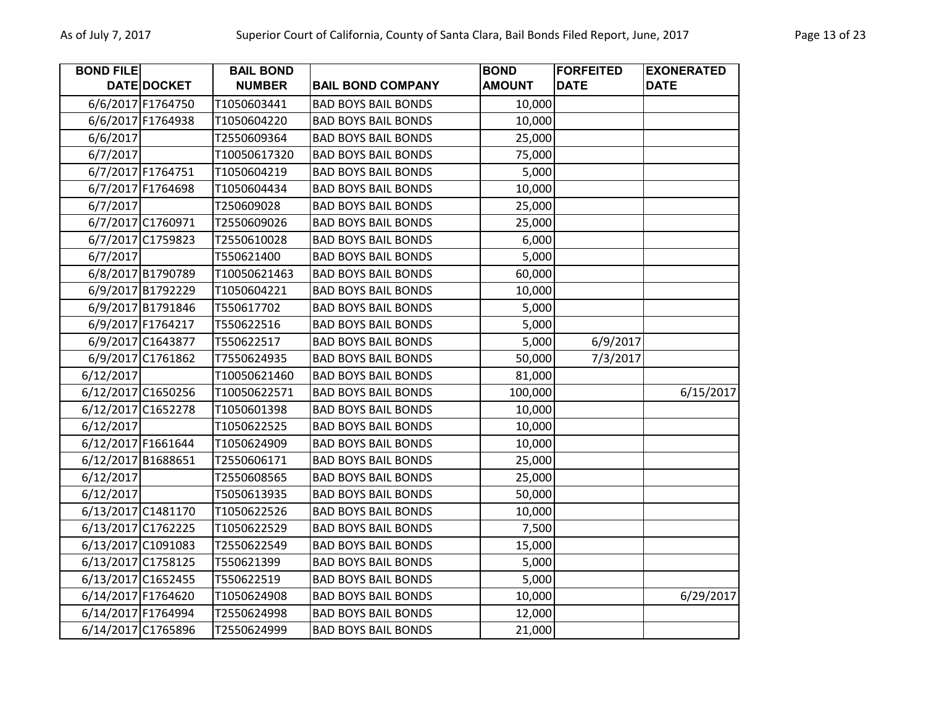| <b>BOND FILE</b> |                    | <b>BAIL BOND</b> |                            | <b>BOND</b>   | <b>FORFEITED</b> | <b>EXONERATED</b> |
|------------------|--------------------|------------------|----------------------------|---------------|------------------|-------------------|
|                  | DATE DOCKET        | <b>NUMBER</b>    | <b>BAIL BOND COMPANY</b>   | <b>AMOUNT</b> | <b>DATE</b>      | <b>DATE</b>       |
|                  | 6/6/2017 F1764750  | T1050603441      | <b>BAD BOYS BAIL BONDS</b> | 10,000        |                  |                   |
|                  | 6/6/2017 F1764938  | T1050604220      | <b>BAD BOYS BAIL BONDS</b> | 10,000        |                  |                   |
| 6/6/2017         |                    | T2550609364      | <b>BAD BOYS BAIL BONDS</b> | 25,000        |                  |                   |
| 6/7/2017         |                    | T10050617320     | <b>BAD BOYS BAIL BONDS</b> | 75,000        |                  |                   |
|                  | 6/7/2017 F1764751  | T1050604219      | <b>BAD BOYS BAIL BONDS</b> | 5,000         |                  |                   |
|                  | 6/7/2017 F1764698  | T1050604434      | <b>BAD BOYS BAIL BONDS</b> | 10,000        |                  |                   |
| 6/7/2017         |                    | T250609028       | <b>BAD BOYS BAIL BONDS</b> | 25,000        |                  |                   |
|                  | 6/7/2017 C1760971  | T2550609026      | <b>BAD BOYS BAIL BONDS</b> | 25,000        |                  |                   |
|                  | 6/7/2017 C1759823  | T2550610028      | <b>BAD BOYS BAIL BONDS</b> | 6,000         |                  |                   |
| 6/7/2017         |                    | T550621400       | <b>BAD BOYS BAIL BONDS</b> | 5,000         |                  |                   |
|                  | 6/8/2017 B1790789  | T10050621463     | <b>BAD BOYS BAIL BONDS</b> | 60,000        |                  |                   |
|                  | 6/9/2017 B1792229  | T1050604221      | <b>BAD BOYS BAIL BONDS</b> | 10,000        |                  |                   |
|                  | 6/9/2017 B1791846  | T550617702       | <b>BAD BOYS BAIL BONDS</b> | 5,000         |                  |                   |
|                  | 6/9/2017 F1764217  | T550622516       | <b>BAD BOYS BAIL BONDS</b> | 5,000         |                  |                   |
|                  | 6/9/2017 C1643877  | T550622517       | <b>BAD BOYS BAIL BONDS</b> | 5,000         | 6/9/2017         |                   |
|                  | 6/9/2017 C1761862  | T7550624935      | <b>BAD BOYS BAIL BONDS</b> | 50,000        | 7/3/2017         |                   |
| 6/12/2017        |                    | T10050621460     | <b>BAD BOYS BAIL BONDS</b> | 81,000        |                  |                   |
|                  | 6/12/2017 C1650256 | T10050622571     | <b>BAD BOYS BAIL BONDS</b> | 100,000       |                  | 6/15/2017         |
|                  | 6/12/2017 C1652278 | T1050601398      | <b>BAD BOYS BAIL BONDS</b> | 10,000        |                  |                   |
| 6/12/2017        |                    | T1050622525      | <b>BAD BOYS BAIL BONDS</b> | 10,000        |                  |                   |
|                  | 6/12/2017 F1661644 | T1050624909      | <b>BAD BOYS BAIL BONDS</b> | 10,000        |                  |                   |
|                  | 6/12/2017 B1688651 | T2550606171      | <b>BAD BOYS BAIL BONDS</b> | 25,000        |                  |                   |
| 6/12/2017        |                    | T2550608565      | <b>BAD BOYS BAIL BONDS</b> | 25,000        |                  |                   |
| 6/12/2017        |                    | T5050613935      | <b>BAD BOYS BAIL BONDS</b> | 50,000        |                  |                   |
|                  | 6/13/2017 C1481170 | T1050622526      | <b>BAD BOYS BAIL BONDS</b> | 10,000        |                  |                   |
|                  | 6/13/2017 C1762225 | T1050622529      | <b>BAD BOYS BAIL BONDS</b> | 7,500         |                  |                   |
|                  | 6/13/2017 C1091083 | T2550622549      | <b>BAD BOYS BAIL BONDS</b> | 15,000        |                  |                   |
|                  | 6/13/2017 C1758125 | T550621399       | <b>BAD BOYS BAIL BONDS</b> | 5,000         |                  |                   |
|                  | 6/13/2017 C1652455 | T550622519       | <b>BAD BOYS BAIL BONDS</b> | 5,000         |                  |                   |
|                  | 6/14/2017 F1764620 | T1050624908      | <b>BAD BOYS BAIL BONDS</b> | 10,000        |                  | 6/29/2017         |
|                  | 6/14/2017 F1764994 | T2550624998      | <b>BAD BOYS BAIL BONDS</b> | 12,000        |                  |                   |
|                  | 6/14/2017 C1765896 | T2550624999      | <b>BAD BOYS BAIL BONDS</b> | 21,000        |                  |                   |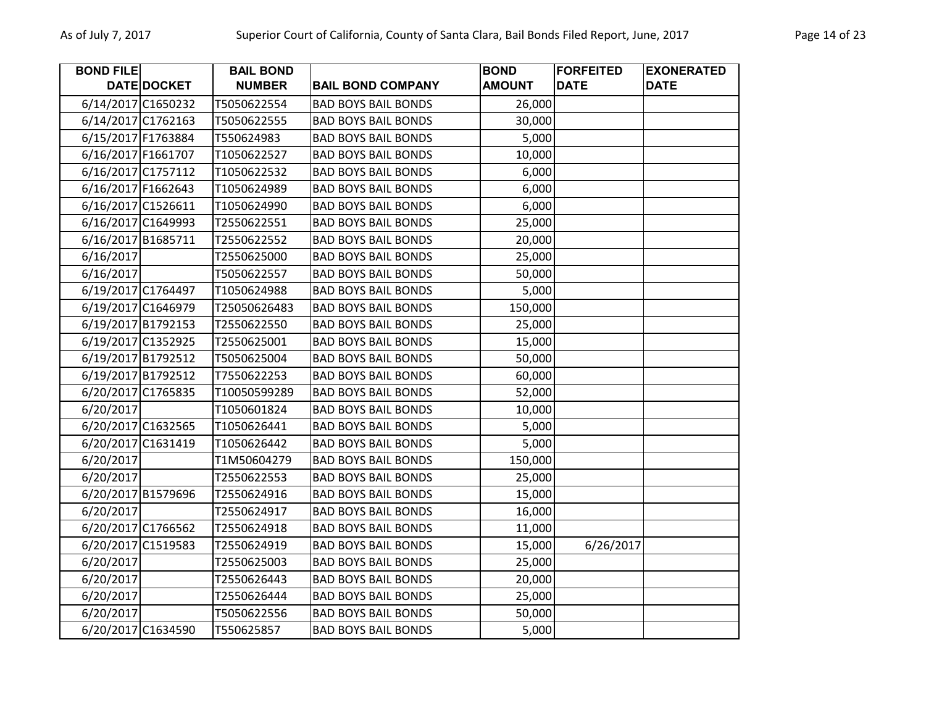| <b>BOND FILE</b>   |                    | <b>BAIL BOND</b> |                            | <b>BOND</b>   | <b>FORFEITED</b> | <b>EXONERATED</b> |
|--------------------|--------------------|------------------|----------------------------|---------------|------------------|-------------------|
|                    | DATE DOCKET        | <b>NUMBER</b>    | <b>BAIL BOND COMPANY</b>   | <b>AMOUNT</b> | <b>DATE</b>      | <b>DATE</b>       |
|                    | 6/14/2017 C1650232 | T5050622554      | <b>BAD BOYS BAIL BONDS</b> | 26,000        |                  |                   |
|                    | 6/14/2017 C1762163 | T5050622555      | <b>BAD BOYS BAIL BONDS</b> | 30,000        |                  |                   |
| 6/15/2017 F1763884 |                    | T550624983       | <b>BAD BOYS BAIL BONDS</b> | 5,000         |                  |                   |
| 6/16/2017 F1661707 |                    | T1050622527      | <b>BAD BOYS BAIL BONDS</b> | 10,000        |                  |                   |
|                    | 6/16/2017 C1757112 | T1050622532      | <b>BAD BOYS BAIL BONDS</b> | 6,000         |                  |                   |
|                    | 6/16/2017 F1662643 | T1050624989      | <b>BAD BOYS BAIL BONDS</b> | 6,000         |                  |                   |
|                    | 6/16/2017 C1526611 | T1050624990      | <b>BAD BOYS BAIL BONDS</b> | 6,000         |                  |                   |
|                    | 6/16/2017 C1649993 | T2550622551      | <b>BAD BOYS BAIL BONDS</b> | 25,000        |                  |                   |
|                    | 6/16/2017 B1685711 | T2550622552      | <b>BAD BOYS BAIL BONDS</b> | 20,000        |                  |                   |
| 6/16/2017          |                    | T2550625000      | <b>BAD BOYS BAIL BONDS</b> | 25,000        |                  |                   |
| 6/16/2017          |                    | T5050622557      | <b>BAD BOYS BAIL BONDS</b> | 50,000        |                  |                   |
|                    | 6/19/2017 C1764497 | T1050624988      | <b>BAD BOYS BAIL BONDS</b> | 5,000         |                  |                   |
|                    | 6/19/2017 C1646979 | T25050626483     | <b>BAD BOYS BAIL BONDS</b> | 150,000       |                  |                   |
|                    | 6/19/2017 B1792153 | T2550622550      | <b>BAD BOYS BAIL BONDS</b> | 25,000        |                  |                   |
|                    | 6/19/2017 C1352925 | T2550625001      | <b>BAD BOYS BAIL BONDS</b> | 15,000        |                  |                   |
|                    | 6/19/2017 B1792512 | T5050625004      | <b>BAD BOYS BAIL BONDS</b> | 50,000        |                  |                   |
|                    | 6/19/2017 B1792512 | T7550622253      | <b>BAD BOYS BAIL BONDS</b> | 60,000        |                  |                   |
|                    | 6/20/2017 C1765835 | T10050599289     | <b>BAD BOYS BAIL BONDS</b> | 52,000        |                  |                   |
| 6/20/2017          |                    | T1050601824      | <b>BAD BOYS BAIL BONDS</b> | 10,000        |                  |                   |
|                    | 6/20/2017 C1632565 | T1050626441      | <b>BAD BOYS BAIL BONDS</b> | 5,000         |                  |                   |
|                    | 6/20/2017 C1631419 | T1050626442      | <b>BAD BOYS BAIL BONDS</b> | 5,000         |                  |                   |
| 6/20/2017          |                    | T1M50604279      | <b>BAD BOYS BAIL BONDS</b> | 150,000       |                  |                   |
| 6/20/2017          |                    | T2550622553      | <b>BAD BOYS BAIL BONDS</b> | 25,000        |                  |                   |
|                    | 6/20/2017 B1579696 | T2550624916      | <b>BAD BOYS BAIL BONDS</b> | 15,000        |                  |                   |
| 6/20/2017          |                    | T2550624917      | <b>BAD BOYS BAIL BONDS</b> | 16,000        |                  |                   |
|                    | 6/20/2017 C1766562 | T2550624918      | <b>BAD BOYS BAIL BONDS</b> | 11,000        |                  |                   |
|                    | 6/20/2017 C1519583 | T2550624919      | <b>BAD BOYS BAIL BONDS</b> | 15,000        | 6/26/2017        |                   |
| 6/20/2017          |                    | T2550625003      | <b>BAD BOYS BAIL BONDS</b> | 25,000        |                  |                   |
| 6/20/2017          |                    | T2550626443      | <b>BAD BOYS BAIL BONDS</b> | 20,000        |                  |                   |
| 6/20/2017          |                    | T2550626444      | <b>BAD BOYS BAIL BONDS</b> | 25,000        |                  |                   |
| 6/20/2017          |                    | T5050622556      | <b>BAD BOYS BAIL BONDS</b> | 50,000        |                  |                   |
|                    | 6/20/2017 C1634590 | T550625857       | <b>BAD BOYS BAIL BONDS</b> | 5,000         |                  |                   |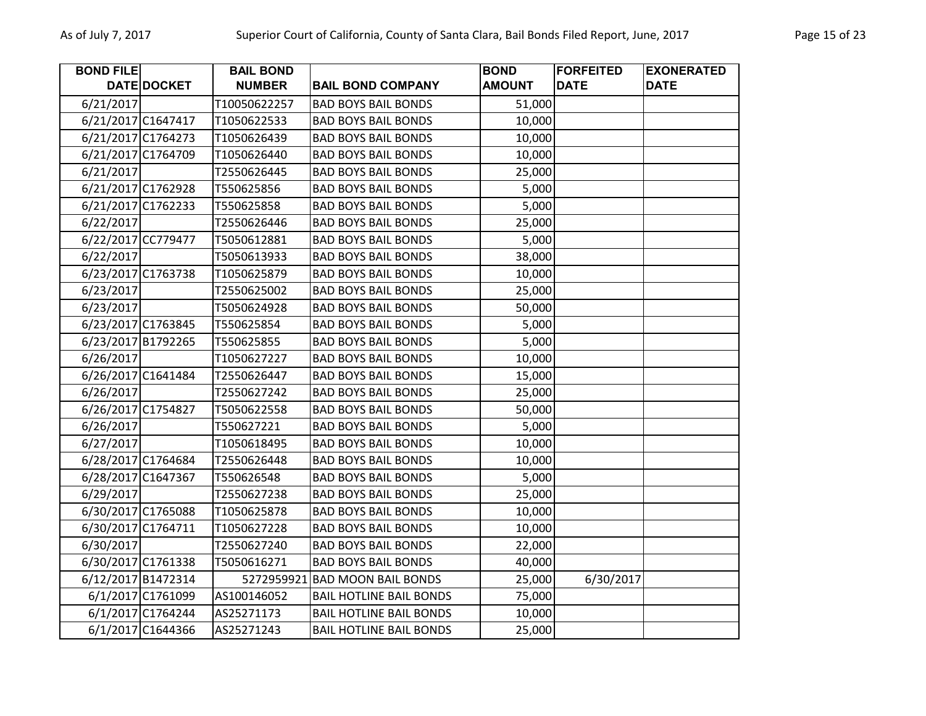| <b>BOND FILE</b>   |                    | <b>BAIL BOND</b> |                                | <b>BOND</b>   | <b>FORFEITED</b> | <b>EXONERATED</b> |
|--------------------|--------------------|------------------|--------------------------------|---------------|------------------|-------------------|
|                    | DATE DOCKET        | <b>NUMBER</b>    | <b>BAIL BOND COMPANY</b>       | <b>AMOUNT</b> | <b>DATE</b>      | <b>DATE</b>       |
| 6/21/2017          |                    | T10050622257     | <b>BAD BOYS BAIL BONDS</b>     | 51,000        |                  |                   |
| 6/21/2017 C1647417 |                    | T1050622533      | <b>BAD BOYS BAIL BONDS</b>     | 10,000        |                  |                   |
|                    | 6/21/2017 C1764273 | T1050626439      | <b>BAD BOYS BAIL BONDS</b>     | 10,000        |                  |                   |
|                    | 6/21/2017 C1764709 | T1050626440      | <b>BAD BOYS BAIL BONDS</b>     | 10,000        |                  |                   |
| 6/21/2017          |                    | T2550626445      | <b>BAD BOYS BAIL BONDS</b>     | 25,000        |                  |                   |
|                    | 6/21/2017 C1762928 | T550625856       | <b>BAD BOYS BAIL BONDS</b>     | 5,000         |                  |                   |
|                    | 6/21/2017 C1762233 | T550625858       | <b>BAD BOYS BAIL BONDS</b>     | 5,000         |                  |                   |
| 6/22/2017          |                    | T2550626446      | <b>BAD BOYS BAIL BONDS</b>     | 25,000        |                  |                   |
|                    | 6/22/2017 CC779477 | T5050612881      | <b>BAD BOYS BAIL BONDS</b>     | 5,000         |                  |                   |
| 6/22/2017          |                    | T5050613933      | <b>BAD BOYS BAIL BONDS</b>     | 38,000        |                  |                   |
|                    | 6/23/2017 C1763738 | T1050625879      | <b>BAD BOYS BAIL BONDS</b>     | 10,000        |                  |                   |
| 6/23/2017          |                    | T2550625002      | <b>BAD BOYS BAIL BONDS</b>     | 25,000        |                  |                   |
| 6/23/2017          |                    | T5050624928      | <b>BAD BOYS BAIL BONDS</b>     | 50,000        |                  |                   |
|                    | 6/23/2017 C1763845 | T550625854       | <b>BAD BOYS BAIL BONDS</b>     | 5,000         |                  |                   |
|                    | 6/23/2017 B1792265 | T550625855       | <b>BAD BOYS BAIL BONDS</b>     | 5,000         |                  |                   |
| 6/26/2017          |                    | T1050627227      | <b>BAD BOYS BAIL BONDS</b>     | 10,000        |                  |                   |
|                    | 6/26/2017 C1641484 | T2550626447      | <b>BAD BOYS BAIL BONDS</b>     | 15,000        |                  |                   |
| 6/26/2017          |                    | T2550627242      | <b>BAD BOYS BAIL BONDS</b>     | 25,000        |                  |                   |
| 6/26/2017 C1754827 |                    | T5050622558      | <b>BAD BOYS BAIL BONDS</b>     | 50,000        |                  |                   |
| 6/26/2017          |                    | T550627221       | <b>BAD BOYS BAIL BONDS</b>     | 5,000         |                  |                   |
| 6/27/2017          |                    | T1050618495      | <b>BAD BOYS BAIL BONDS</b>     | 10,000        |                  |                   |
|                    | 6/28/2017 C1764684 | T2550626448      | <b>BAD BOYS BAIL BONDS</b>     | 10,000        |                  |                   |
|                    | 6/28/2017 C1647367 | T550626548       | <b>BAD BOYS BAIL BONDS</b>     | 5,000         |                  |                   |
| 6/29/2017          |                    | T2550627238      | <b>BAD BOYS BAIL BONDS</b>     | 25,000        |                  |                   |
|                    | 6/30/2017 C1765088 | T1050625878      | <b>BAD BOYS BAIL BONDS</b>     | 10,000        |                  |                   |
|                    | 6/30/2017 C1764711 | T1050627228      | <b>BAD BOYS BAIL BONDS</b>     | 10,000        |                  |                   |
| 6/30/2017          |                    | T2550627240      | <b>BAD BOYS BAIL BONDS</b>     | 22,000        |                  |                   |
|                    | 6/30/2017 C1761338 | T5050616271      | <b>BAD BOYS BAIL BONDS</b>     | 40,000        |                  |                   |
|                    | 6/12/2017 B1472314 | 5272959921       | <b>BAD MOON BAIL BONDS</b>     | 25,000        | 6/30/2017        |                   |
|                    | 6/1/2017 C1761099  | AS100146052      | <b>BAIL HOTLINE BAIL BONDS</b> | 75,000        |                  |                   |
|                    | 6/1/2017 C1764244  | AS25271173       | <b>BAIL HOTLINE BAIL BONDS</b> | 10,000        |                  |                   |
|                    | 6/1/2017 C1644366  | AS25271243       | <b>BAIL HOTLINE BAIL BONDS</b> | 25,000        |                  |                   |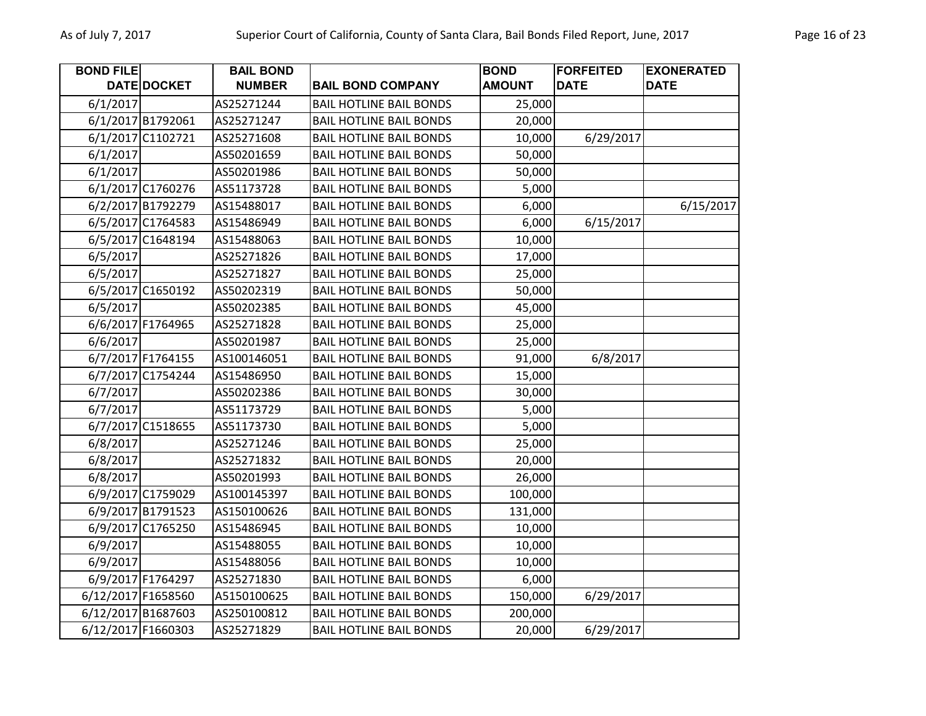| <b>BOND FILE</b> |                    | <b>BAIL BOND</b> |                                | <b>BOND</b>   | <b>FORFEITED</b> | <b>EXONERATED</b> |
|------------------|--------------------|------------------|--------------------------------|---------------|------------------|-------------------|
|                  | DATE DOCKET        | <b>NUMBER</b>    | <b>BAIL BOND COMPANY</b>       | <b>AMOUNT</b> | <b>DATE</b>      | <b>DATE</b>       |
| 6/1/2017         |                    | AS25271244       | <b>BAIL HOTLINE BAIL BONDS</b> | 25,000        |                  |                   |
|                  | 6/1/2017 B1792061  | AS25271247       | <b>BAIL HOTLINE BAIL BONDS</b> | 20,000        |                  |                   |
|                  | 6/1/2017 C1102721  | AS25271608       | <b>BAIL HOTLINE BAIL BONDS</b> | 10,000        | 6/29/2017        |                   |
| 6/1/2017         |                    | AS50201659       | <b>BAIL HOTLINE BAIL BONDS</b> | 50,000        |                  |                   |
| 6/1/2017         |                    | AS50201986       | <b>BAIL HOTLINE BAIL BONDS</b> | 50,000        |                  |                   |
|                  | 6/1/2017 C1760276  | AS51173728       | <b>BAIL HOTLINE BAIL BONDS</b> | 5,000         |                  |                   |
|                  | 6/2/2017 B1792279  | AS15488017       | <b>BAIL HOTLINE BAIL BONDS</b> | 6,000         |                  | 6/15/2017         |
|                  | 6/5/2017 C1764583  | AS15486949       | <b>BAIL HOTLINE BAIL BONDS</b> | 6,000         | 6/15/2017        |                   |
|                  | 6/5/2017 C1648194  | AS15488063       | <b>BAIL HOTLINE BAIL BONDS</b> | 10,000        |                  |                   |
| 6/5/2017         |                    | AS25271826       | <b>BAIL HOTLINE BAIL BONDS</b> | 17,000        |                  |                   |
| 6/5/2017         |                    | AS25271827       | <b>BAIL HOTLINE BAIL BONDS</b> | 25,000        |                  |                   |
|                  | 6/5/2017 C1650192  | AS50202319       | <b>BAIL HOTLINE BAIL BONDS</b> | 50,000        |                  |                   |
| 6/5/2017         |                    | AS50202385       | <b>BAIL HOTLINE BAIL BONDS</b> | 45,000        |                  |                   |
|                  | 6/6/2017 F1764965  | AS25271828       | <b>BAIL HOTLINE BAIL BONDS</b> | 25,000        |                  |                   |
| 6/6/2017         |                    | AS50201987       | <b>BAIL HOTLINE BAIL BONDS</b> | 25,000        |                  |                   |
|                  | 6/7/2017 F1764155  | AS100146051      | <b>BAIL HOTLINE BAIL BONDS</b> | 91,000        | 6/8/2017         |                   |
|                  | 6/7/2017 C1754244  | AS15486950       | <b>BAIL HOTLINE BAIL BONDS</b> | 15,000        |                  |                   |
| 6/7/2017         |                    | AS50202386       | <b>BAIL HOTLINE BAIL BONDS</b> | 30,000        |                  |                   |
| 6/7/2017         |                    | AS51173729       | <b>BAIL HOTLINE BAIL BONDS</b> | 5,000         |                  |                   |
|                  | 6/7/2017 C1518655  | AS51173730       | <b>BAIL HOTLINE BAIL BONDS</b> | 5,000         |                  |                   |
| 6/8/2017         |                    | AS25271246       | <b>BAIL HOTLINE BAIL BONDS</b> | 25,000        |                  |                   |
| 6/8/2017         |                    | AS25271832       | <b>BAIL HOTLINE BAIL BONDS</b> | 20,000        |                  |                   |
| 6/8/2017         |                    | AS50201993       | <b>BAIL HOTLINE BAIL BONDS</b> | 26,000        |                  |                   |
|                  | 6/9/2017 C1759029  | AS100145397      | <b>BAIL HOTLINE BAIL BONDS</b> | 100,000       |                  |                   |
|                  | 6/9/2017 B1791523  | AS150100626      | <b>BAIL HOTLINE BAIL BONDS</b> | 131,000       |                  |                   |
|                  | 6/9/2017 C1765250  | AS15486945       | <b>BAIL HOTLINE BAIL BONDS</b> | 10,000        |                  |                   |
| 6/9/2017         |                    | AS15488055       | <b>BAIL HOTLINE BAIL BONDS</b> | 10,000        |                  |                   |
| 6/9/2017         |                    | AS15488056       | <b>BAIL HOTLINE BAIL BONDS</b> | 10,000        |                  |                   |
|                  | 6/9/2017 F1764297  | AS25271830       | <b>BAIL HOTLINE BAIL BONDS</b> | 6,000         |                  |                   |
|                  | 6/12/2017 F1658560 | A5150100625      | <b>BAIL HOTLINE BAIL BONDS</b> | 150,000       | 6/29/2017        |                   |
|                  | 6/12/2017 B1687603 | AS250100812      | <b>BAIL HOTLINE BAIL BONDS</b> | 200,000       |                  |                   |
|                  | 6/12/2017 F1660303 | AS25271829       | <b>BAIL HOTLINE BAIL BONDS</b> | 20,000        | 6/29/2017        |                   |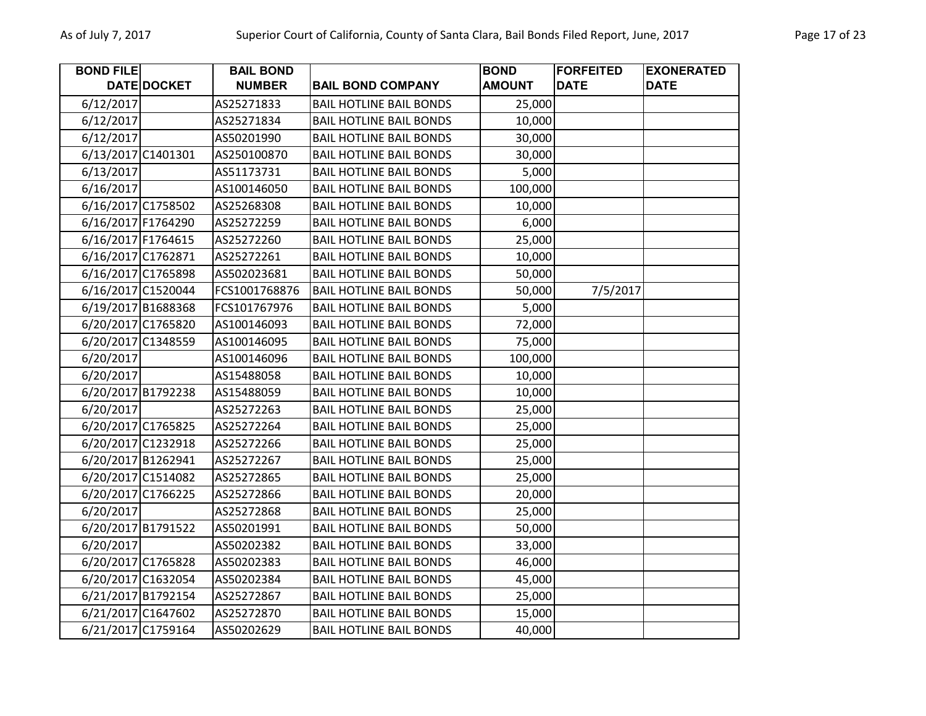| <b>BOND FILE</b> |                    | <b>BAIL BOND</b> |                                | <b>BOND</b>   | <b>FORFEITED</b> | <b>EXONERATED</b> |
|------------------|--------------------|------------------|--------------------------------|---------------|------------------|-------------------|
|                  | DATE DOCKET        | <b>NUMBER</b>    | <b>BAIL BOND COMPANY</b>       | <b>AMOUNT</b> | <b>DATE</b>      | <b>DATE</b>       |
| 6/12/2017        |                    | AS25271833       | <b>BAIL HOTLINE BAIL BONDS</b> | 25,000        |                  |                   |
| 6/12/2017        |                    | AS25271834       | <b>BAIL HOTLINE BAIL BONDS</b> | 10,000        |                  |                   |
| 6/12/2017        |                    | AS50201990       | <b>BAIL HOTLINE BAIL BONDS</b> | 30,000        |                  |                   |
|                  | 6/13/2017 C1401301 | AS250100870      | <b>BAIL HOTLINE BAIL BONDS</b> | 30,000        |                  |                   |
| 6/13/2017        |                    | AS51173731       | <b>BAIL HOTLINE BAIL BONDS</b> | 5,000         |                  |                   |
| 6/16/2017        |                    | AS100146050      | <b>BAIL HOTLINE BAIL BONDS</b> | 100,000       |                  |                   |
|                  | 6/16/2017 C1758502 | AS25268308       | <b>BAIL HOTLINE BAIL BONDS</b> | 10,000        |                  |                   |
|                  | 6/16/2017 F1764290 | AS25272259       | <b>BAIL HOTLINE BAIL BONDS</b> | 6,000         |                  |                   |
|                  | 6/16/2017 F1764615 | AS25272260       | <b>BAIL HOTLINE BAIL BONDS</b> | 25,000        |                  |                   |
|                  | 6/16/2017 C1762871 | AS25272261       | <b>BAIL HOTLINE BAIL BONDS</b> | 10,000        |                  |                   |
|                  | 6/16/2017 C1765898 | AS502023681      | <b>BAIL HOTLINE BAIL BONDS</b> | 50,000        |                  |                   |
|                  | 6/16/2017 C1520044 | FCS1001768876    | <b>BAIL HOTLINE BAIL BONDS</b> | 50,000        | 7/5/2017         |                   |
|                  | 6/19/2017 B1688368 | FCS101767976     | <b>BAIL HOTLINE BAIL BONDS</b> | 5,000         |                  |                   |
|                  | 6/20/2017 C1765820 | AS100146093      | <b>BAIL HOTLINE BAIL BONDS</b> | 72,000        |                  |                   |
|                  | 6/20/2017 C1348559 | AS100146095      | <b>BAIL HOTLINE BAIL BONDS</b> | 75,000        |                  |                   |
| 6/20/2017        |                    | AS100146096      | <b>BAIL HOTLINE BAIL BONDS</b> | 100,000       |                  |                   |
| 6/20/2017        |                    | AS15488058       | <b>BAIL HOTLINE BAIL BONDS</b> | 10,000        |                  |                   |
|                  | 6/20/2017 B1792238 | AS15488059       | <b>BAIL HOTLINE BAIL BONDS</b> | 10,000        |                  |                   |
| 6/20/2017        |                    | AS25272263       | <b>BAIL HOTLINE BAIL BONDS</b> | 25,000        |                  |                   |
|                  | 6/20/2017 C1765825 | AS25272264       | <b>BAIL HOTLINE BAIL BONDS</b> | 25,000        |                  |                   |
|                  | 6/20/2017 C1232918 | AS25272266       | <b>BAIL HOTLINE BAIL BONDS</b> | 25,000        |                  |                   |
|                  | 6/20/2017 B1262941 | AS25272267       | <b>BAIL HOTLINE BAIL BONDS</b> | 25,000        |                  |                   |
|                  | 6/20/2017 C1514082 | AS25272865       | <b>BAIL HOTLINE BAIL BONDS</b> | 25,000        |                  |                   |
|                  | 6/20/2017 C1766225 | AS25272866       | <b>BAIL HOTLINE BAIL BONDS</b> | 20,000        |                  |                   |
| 6/20/2017        |                    | AS25272868       | <b>BAIL HOTLINE BAIL BONDS</b> | 25,000        |                  |                   |
|                  | 6/20/2017 B1791522 | AS50201991       | <b>BAIL HOTLINE BAIL BONDS</b> | 50,000        |                  |                   |
| 6/20/2017        |                    | AS50202382       | <b>BAIL HOTLINE BAIL BONDS</b> | 33,000        |                  |                   |
|                  | 6/20/2017 C1765828 | AS50202383       | <b>BAIL HOTLINE BAIL BONDS</b> | 46,000        |                  |                   |
|                  | 6/20/2017 C1632054 | AS50202384       | <b>BAIL HOTLINE BAIL BONDS</b> | 45,000        |                  |                   |
|                  | 6/21/2017 B1792154 | AS25272867       | <b>BAIL HOTLINE BAIL BONDS</b> | 25,000        |                  |                   |
|                  | 6/21/2017 C1647602 | AS25272870       | <b>BAIL HOTLINE BAIL BONDS</b> | 15,000        |                  |                   |
|                  | 6/21/2017 C1759164 | AS50202629       | <b>BAIL HOTLINE BAIL BONDS</b> | 40,000        |                  |                   |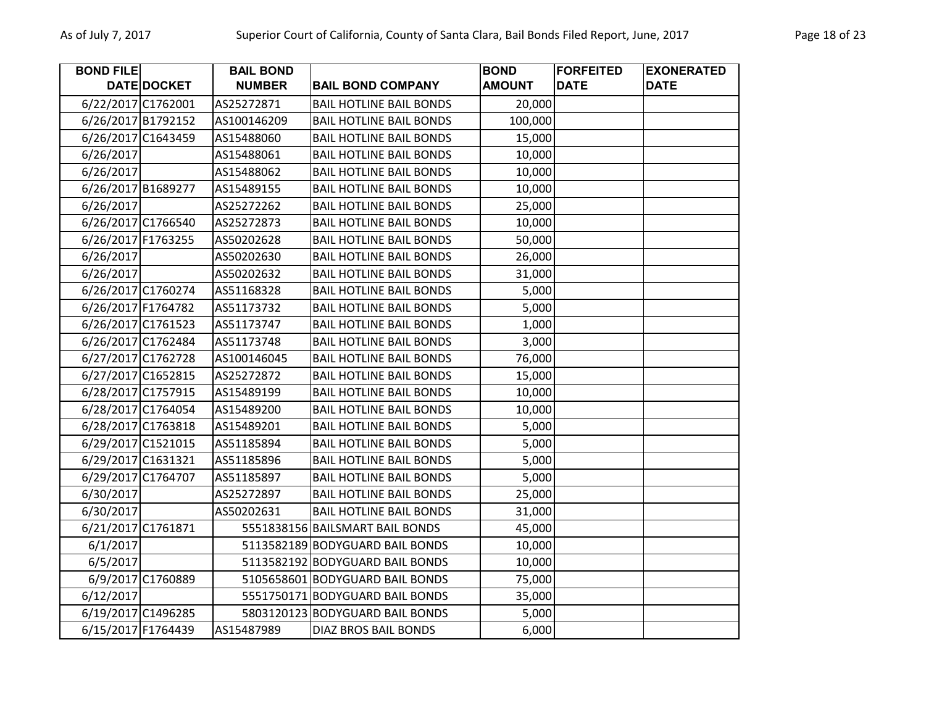| <b>BOND FILE</b>   |                    | <b>BAIL BOND</b> |                                 | <b>BOND</b>   | <b>FORFEITED</b> | <b>EXONERATED</b> |
|--------------------|--------------------|------------------|---------------------------------|---------------|------------------|-------------------|
|                    | DATE DOCKET        | <b>NUMBER</b>    | <b>BAIL BOND COMPANY</b>        | <b>AMOUNT</b> | <b>DATE</b>      | <b>DATE</b>       |
|                    | 6/22/2017 C1762001 | AS25272871       | <b>BAIL HOTLINE BAIL BONDS</b>  | 20,000        |                  |                   |
|                    | 6/26/2017 B1792152 | AS100146209      | <b>BAIL HOTLINE BAIL BONDS</b>  | 100,000       |                  |                   |
|                    | 6/26/2017 C1643459 | AS15488060       | <b>BAIL HOTLINE BAIL BONDS</b>  | 15,000        |                  |                   |
| 6/26/2017          |                    | AS15488061       | <b>BAIL HOTLINE BAIL BONDS</b>  | 10,000        |                  |                   |
| 6/26/2017          |                    | AS15488062       | <b>BAIL HOTLINE BAIL BONDS</b>  | 10,000        |                  |                   |
|                    | 6/26/2017 B1689277 | AS15489155       | <b>BAIL HOTLINE BAIL BONDS</b>  | 10,000        |                  |                   |
| 6/26/2017          |                    | AS25272262       | <b>BAIL HOTLINE BAIL BONDS</b>  | 25,000        |                  |                   |
|                    | 6/26/2017 C1766540 | AS25272873       | <b>BAIL HOTLINE BAIL BONDS</b>  | 10,000        |                  |                   |
| 6/26/2017 F1763255 |                    | AS50202628       | <b>BAIL HOTLINE BAIL BONDS</b>  | 50,000        |                  |                   |
| 6/26/2017          |                    | AS50202630       | <b>BAIL HOTLINE BAIL BONDS</b>  | 26,000        |                  |                   |
| 6/26/2017          |                    | AS50202632       | <b>BAIL HOTLINE BAIL BONDS</b>  | 31,000        |                  |                   |
|                    | 6/26/2017 C1760274 | AS51168328       | <b>BAIL HOTLINE BAIL BONDS</b>  | 5,000         |                  |                   |
|                    | 6/26/2017 F1764782 | AS51173732       | <b>BAIL HOTLINE BAIL BONDS</b>  | 5,000         |                  |                   |
|                    | 6/26/2017 C1761523 | AS51173747       | <b>BAIL HOTLINE BAIL BONDS</b>  | 1,000         |                  |                   |
|                    | 6/26/2017 C1762484 | AS51173748       | <b>BAIL HOTLINE BAIL BONDS</b>  | 3,000         |                  |                   |
|                    | 6/27/2017 C1762728 | AS100146045      | <b>BAIL HOTLINE BAIL BONDS</b>  | 76,000        |                  |                   |
|                    | 6/27/2017 C1652815 | AS25272872       | <b>BAIL HOTLINE BAIL BONDS</b>  | 15,000        |                  |                   |
|                    | 6/28/2017 C1757915 | AS15489199       | <b>BAIL HOTLINE BAIL BONDS</b>  | 10,000        |                  |                   |
|                    | 6/28/2017 C1764054 | AS15489200       | <b>BAIL HOTLINE BAIL BONDS</b>  | 10,000        |                  |                   |
|                    | 6/28/2017 C1763818 | AS15489201       | <b>BAIL HOTLINE BAIL BONDS</b>  | 5,000         |                  |                   |
|                    | 6/29/2017 C1521015 | AS51185894       | <b>BAIL HOTLINE BAIL BONDS</b>  | 5,000         |                  |                   |
|                    | 6/29/2017 C1631321 | AS51185896       | <b>BAIL HOTLINE BAIL BONDS</b>  | 5,000         |                  |                   |
|                    | 6/29/2017 C1764707 | AS51185897       | <b>BAIL HOTLINE BAIL BONDS</b>  | 5,000         |                  |                   |
| 6/30/2017          |                    | AS25272897       | <b>BAIL HOTLINE BAIL BONDS</b>  | 25,000        |                  |                   |
| 6/30/2017          |                    | AS50202631       | <b>BAIL HOTLINE BAIL BONDS</b>  | 31,000        |                  |                   |
|                    | 6/21/2017 C1761871 |                  | 5551838156 BAILSMART BAIL BONDS | 45,000        |                  |                   |
| 6/1/2017           |                    |                  | 5113582189 BODYGUARD BAIL BONDS | 10,000        |                  |                   |
| 6/5/2017           |                    |                  | 5113582192 BODYGUARD BAIL BONDS | 10,000        |                  |                   |
|                    | 6/9/2017 C1760889  |                  | 5105658601 BODYGUARD BAIL BONDS | 75,000        |                  |                   |
| 6/12/2017          |                    |                  | 5551750171 BODYGUARD BAIL BONDS | 35,000        |                  |                   |
|                    | 6/19/2017 C1496285 |                  | 5803120123 BODYGUARD BAIL BONDS | 5,000         |                  |                   |
|                    | 6/15/2017 F1764439 | AS15487989       | <b>DIAZ BROS BAIL BONDS</b>     | 6,000         |                  |                   |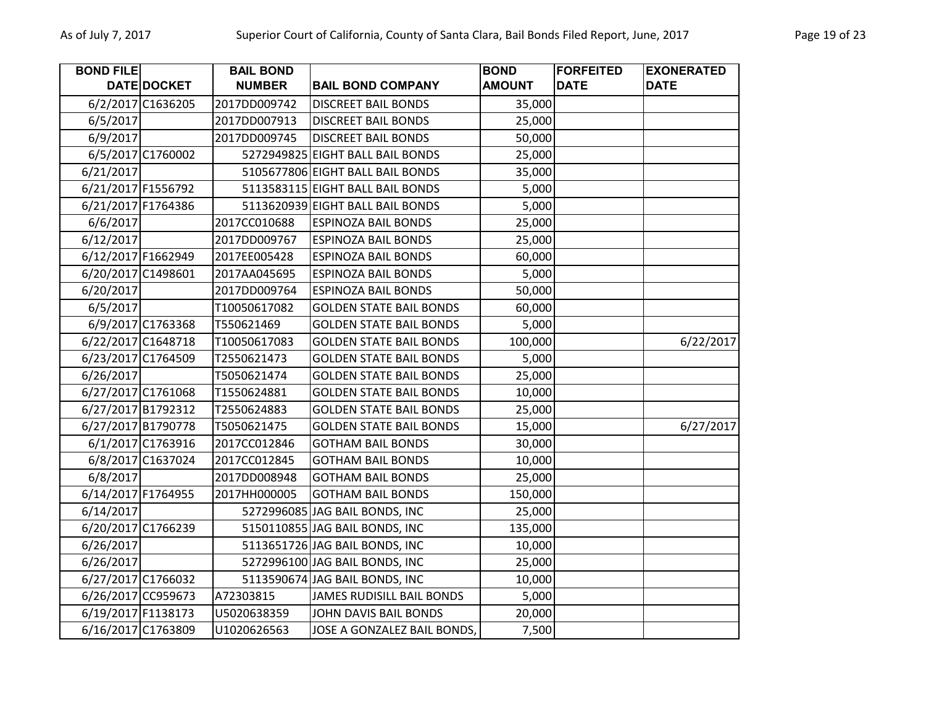| <b>BOND FILE</b>   |                    | <b>BAIL BOND</b> |                                  | <b>BOND</b>   | <b>FORFEITED</b> | <b>EXONERATED</b> |
|--------------------|--------------------|------------------|----------------------------------|---------------|------------------|-------------------|
|                    | DATE DOCKET        | <b>NUMBER</b>    | <b>BAIL BOND COMPANY</b>         | <b>AMOUNT</b> | <b>DATE</b>      | <b>DATE</b>       |
|                    | 6/2/2017 C1636205  | 2017DD009742     | <b>DISCREET BAIL BONDS</b>       | 35,000        |                  |                   |
| 6/5/2017           |                    | 2017DD007913     | <b>DISCREET BAIL BONDS</b>       | 25,000        |                  |                   |
| 6/9/2017           |                    | 2017DD009745     | <b>DISCREET BAIL BONDS</b>       | 50,000        |                  |                   |
|                    | 6/5/2017 C1760002  |                  | 5272949825 EIGHT BALL BAIL BONDS | 25,000        |                  |                   |
| 6/21/2017          |                    |                  | 5105677806 EIGHT BALL BAIL BONDS | 35,000        |                  |                   |
|                    | 6/21/2017 F1556792 |                  | 5113583115 EIGHT BALL BAIL BONDS | 5,000         |                  |                   |
| 6/21/2017 F1764386 |                    |                  | 5113620939 EIGHT BALL BAIL BONDS | 5,000         |                  |                   |
| 6/6/2017           |                    | 2017CC010688     | <b>ESPINOZA BAIL BONDS</b>       | 25,000        |                  |                   |
| 6/12/2017          |                    | 2017DD009767     | <b>ESPINOZA BAIL BONDS</b>       | 25,000        |                  |                   |
|                    | 6/12/2017 F1662949 | 2017EE005428     | <b>ESPINOZA BAIL BONDS</b>       | 60,000        |                  |                   |
|                    | 6/20/2017 C1498601 | 2017AA045695     | <b>ESPINOZA BAIL BONDS</b>       | 5,000         |                  |                   |
| 6/20/2017          |                    | 2017DD009764     | <b>ESPINOZA BAIL BONDS</b>       | 50,000        |                  |                   |
| 6/5/2017           |                    | T10050617082     | <b>GOLDEN STATE BAIL BONDS</b>   | 60,000        |                  |                   |
|                    | 6/9/2017 C1763368  | T550621469       | <b>GOLDEN STATE BAIL BONDS</b>   | 5,000         |                  |                   |
|                    | 6/22/2017 C1648718 | T10050617083     | <b>GOLDEN STATE BAIL BONDS</b>   | 100,000       |                  | 6/22/2017         |
|                    | 6/23/2017 C1764509 | T2550621473      | <b>GOLDEN STATE BAIL BONDS</b>   | 5,000         |                  |                   |
| 6/26/2017          |                    | T5050621474      | <b>GOLDEN STATE BAIL BONDS</b>   | 25,000        |                  |                   |
|                    | 6/27/2017 C1761068 | T1550624881      | <b>GOLDEN STATE BAIL BONDS</b>   | 10,000        |                  |                   |
|                    | 6/27/2017 B1792312 | T2550624883      | <b>GOLDEN STATE BAIL BONDS</b>   | 25,000        |                  |                   |
|                    | 6/27/2017 B1790778 | T5050621475      | <b>GOLDEN STATE BAIL BONDS</b>   | 15,000        |                  | 6/27/2017         |
|                    | 6/1/2017 C1763916  | 2017CC012846     | <b>GOTHAM BAIL BONDS</b>         | 30,000        |                  |                   |
|                    | 6/8/2017 C1637024  | 2017CC012845     | <b>GOTHAM BAIL BONDS</b>         | 10,000        |                  |                   |
| 6/8/2017           |                    | 2017DD008948     | <b>GOTHAM BAIL BONDS</b>         | 25,000        |                  |                   |
|                    | 6/14/2017 F1764955 | 2017HH000005     | <b>GOTHAM BAIL BONDS</b>         | 150,000       |                  |                   |
| 6/14/2017          |                    |                  | 5272996085 JAG BAIL BONDS, INC   | 25,000        |                  |                   |
|                    | 6/20/2017 C1766239 |                  | 5150110855 JAG BAIL BONDS, INC   | 135,000       |                  |                   |
| 6/26/2017          |                    |                  | 5113651726 JAG BAIL BONDS, INC   | 10,000        |                  |                   |
| 6/26/2017          |                    |                  | 5272996100 JAG BAIL BONDS, INC   | 25,000        |                  |                   |
|                    | 6/27/2017 C1766032 |                  | 5113590674 JAG BAIL BONDS, INC   | 10,000        |                  |                   |
|                    | 6/26/2017 CC959673 | A72303815        | <b>JAMES RUDISILL BAIL BONDS</b> | 5,000         |                  |                   |
| 6/19/2017 F1138173 |                    | U5020638359      | JOHN DAVIS BAIL BONDS            | 20,000        |                  |                   |
|                    | 6/16/2017 C1763809 | U1020626563      | JOSE A GONZALEZ BAIL BONDS,      | 7,500         |                  |                   |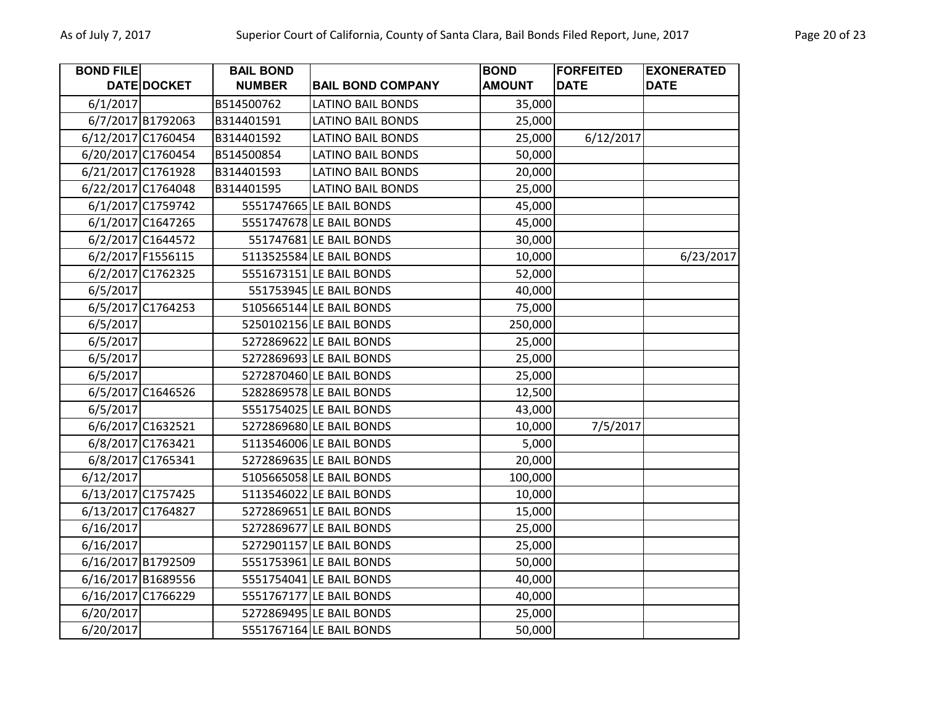| <b>BOND FILE</b> |                    | <b>BAIL BOND</b> |                          | <b>BOND</b>   | <b>FORFEITED</b> | <b>EXONERATED</b> |
|------------------|--------------------|------------------|--------------------------|---------------|------------------|-------------------|
|                  | DATE DOCKET        | <b>NUMBER</b>    | <b>BAIL BOND COMPANY</b> | <b>AMOUNT</b> | <b>DATE</b>      | <b>DATE</b>       |
| 6/1/2017         |                    | B514500762       | <b>LATINO BAIL BONDS</b> | 35,000        |                  |                   |
|                  | 6/7/2017 B1792063  | B314401591       | <b>LATINO BAIL BONDS</b> | 25,000        |                  |                   |
|                  | 6/12/2017 C1760454 | B314401592       | <b>LATINO BAIL BONDS</b> | 25,000        | 6/12/2017        |                   |
|                  | 6/20/2017 C1760454 | B514500854       | <b>LATINO BAIL BONDS</b> | 50,000        |                  |                   |
|                  | 6/21/2017 C1761928 | B314401593       | <b>LATINO BAIL BONDS</b> | 20,000        |                  |                   |
|                  | 6/22/2017 C1764048 | B314401595       | <b>LATINO BAIL BONDS</b> | 25,000        |                  |                   |
|                  | 6/1/2017 C1759742  |                  | 5551747665 LE BAIL BONDS | 45,000        |                  |                   |
|                  | 6/1/2017 C1647265  |                  | 5551747678 LE BAIL BONDS | 45,000        |                  |                   |
|                  | 6/2/2017 C1644572  |                  | 551747681 LE BAIL BONDS  | 30,000        |                  |                   |
|                  | 6/2/2017 F1556115  |                  | 5113525584 LE BAIL BONDS | 10,000        |                  | 6/23/2017         |
|                  | 6/2/2017 C1762325  |                  | 5551673151 LE BAIL BONDS | 52,000        |                  |                   |
| 6/5/2017         |                    |                  | 551753945 LE BAIL BONDS  | 40,000        |                  |                   |
|                  | 6/5/2017 C1764253  |                  | 5105665144 LE BAIL BONDS | 75,000        |                  |                   |
| 6/5/2017         |                    |                  | 5250102156 LE BAIL BONDS | 250,000       |                  |                   |
| 6/5/2017         |                    |                  | 5272869622 LE BAIL BONDS | 25,000        |                  |                   |
| 6/5/2017         |                    |                  | 5272869693 LE BAIL BONDS | 25,000        |                  |                   |
| 6/5/2017         |                    |                  | 5272870460 LE BAIL BONDS | 25,000        |                  |                   |
|                  | 6/5/2017 C1646526  |                  | 5282869578 LE BAIL BONDS | 12,500        |                  |                   |
| 6/5/2017         |                    |                  | 5551754025 LE BAIL BONDS | 43,000        |                  |                   |
|                  | 6/6/2017 C1632521  |                  | 5272869680 LE BAIL BONDS | 10,000        | 7/5/2017         |                   |
|                  | 6/8/2017 C1763421  |                  | 5113546006 LE BAIL BONDS | 5,000         |                  |                   |
|                  | 6/8/2017 C1765341  |                  | 5272869635 LE BAIL BONDS | 20,000        |                  |                   |
| 6/12/2017        |                    |                  | 5105665058 LE BAIL BONDS | 100,000       |                  |                   |
|                  | 6/13/2017 C1757425 |                  | 5113546022 LE BAIL BONDS | 10,000        |                  |                   |
|                  | 6/13/2017 C1764827 |                  | 5272869651 LE BAIL BONDS | 15,000        |                  |                   |
| 6/16/2017        |                    |                  | 5272869677 LE BAIL BONDS | 25,000        |                  |                   |
| 6/16/2017        |                    |                  | 5272901157 LE BAIL BONDS | 25,000        |                  |                   |
|                  | 6/16/2017 B1792509 |                  | 5551753961 LE BAIL BONDS | 50,000        |                  |                   |
|                  | 6/16/2017 B1689556 |                  | 5551754041 LE BAIL BONDS | 40,000        |                  |                   |
|                  | 6/16/2017 C1766229 |                  | 5551767177 LE BAIL BONDS | 40,000        |                  |                   |
| 6/20/2017        |                    |                  | 5272869495 LE BAIL BONDS | 25,000        |                  |                   |
| 6/20/2017        |                    |                  | 5551767164 LE BAIL BONDS | 50,000        |                  |                   |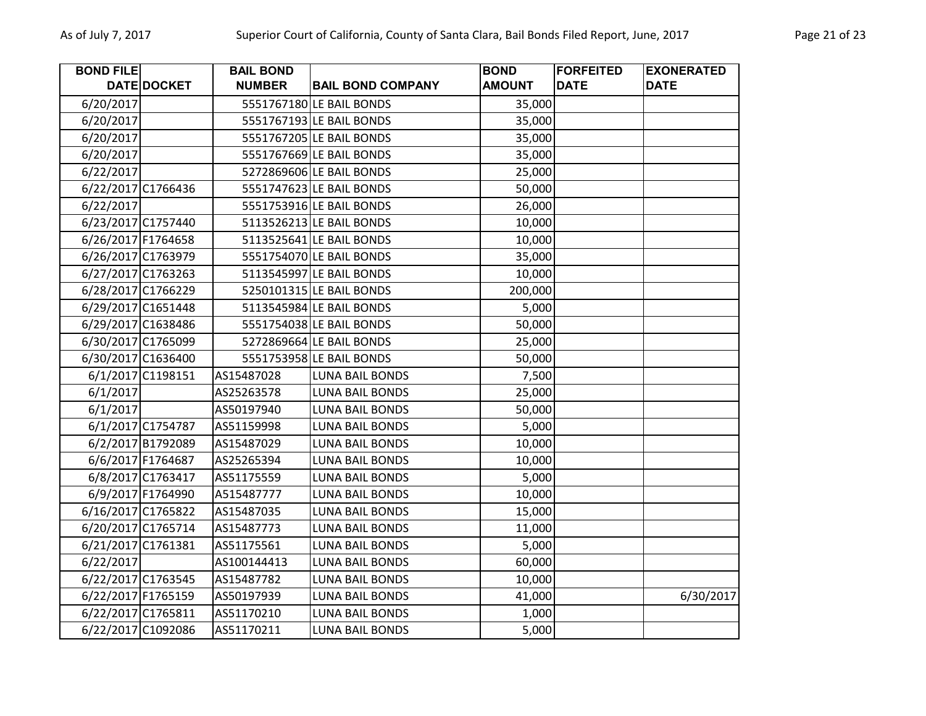| <b>BOND FILE</b> |                    | <b>BAIL BOND</b> |                          | <b>BOND</b>   | <b>FORFEITED</b> | <b>EXONERATED</b> |
|------------------|--------------------|------------------|--------------------------|---------------|------------------|-------------------|
|                  | DATE DOCKET        | <b>NUMBER</b>    | <b>BAIL BOND COMPANY</b> | <b>AMOUNT</b> | <b>DATE</b>      | <b>DATE</b>       |
| 6/20/2017        |                    |                  | 5551767180 LE BAIL BONDS | 35,000        |                  |                   |
| 6/20/2017        |                    |                  | 5551767193 LE BAIL BONDS | 35,000        |                  |                   |
| 6/20/2017        |                    |                  | 5551767205 LE BAIL BONDS | 35,000        |                  |                   |
| 6/20/2017        |                    |                  | 5551767669 LE BAIL BONDS | 35,000        |                  |                   |
| 6/22/2017        |                    |                  | 5272869606 LE BAIL BONDS | 25,000        |                  |                   |
|                  | 6/22/2017 C1766436 |                  | 5551747623 LE BAIL BONDS | 50,000        |                  |                   |
| 6/22/2017        |                    |                  | 5551753916 LE BAIL BONDS | 26,000        |                  |                   |
|                  | 6/23/2017 C1757440 |                  | 5113526213 LE BAIL BONDS | 10,000        |                  |                   |
|                  | 6/26/2017 F1764658 |                  | 5113525641 LE BAIL BONDS | 10,000        |                  |                   |
|                  | 6/26/2017 C1763979 |                  | 5551754070 LE BAIL BONDS | 35,000        |                  |                   |
|                  | 6/27/2017 C1763263 |                  | 5113545997 LE BAIL BONDS | 10,000        |                  |                   |
|                  | 6/28/2017 C1766229 |                  | 5250101315 LE BAIL BONDS | 200,000       |                  |                   |
|                  | 6/29/2017 C1651448 |                  | 5113545984 LE BAIL BONDS | 5,000         |                  |                   |
|                  | 6/29/2017 C1638486 |                  | 5551754038 LE BAIL BONDS | 50,000        |                  |                   |
|                  | 6/30/2017 C1765099 |                  | 5272869664 LE BAIL BONDS | 25,000        |                  |                   |
|                  | 6/30/2017 C1636400 |                  | 5551753958 LE BAIL BONDS | 50,000        |                  |                   |
|                  | 6/1/2017 C1198151  | AS15487028       | LUNA BAIL BONDS          | 7,500         |                  |                   |
| 6/1/2017         |                    | AS25263578       | <b>LUNA BAIL BONDS</b>   | 25,000        |                  |                   |
| 6/1/2017         |                    | AS50197940       | LUNA BAIL BONDS          | 50,000        |                  |                   |
|                  | 6/1/2017 C1754787  | AS51159998       | LUNA BAIL BONDS          | 5,000         |                  |                   |
|                  | 6/2/2017 B1792089  | AS15487029       | <b>LUNA BAIL BONDS</b>   | 10,000        |                  |                   |
|                  | 6/6/2017 F1764687  | AS25265394       | <b>LUNA BAIL BONDS</b>   | 10,000        |                  |                   |
|                  | 6/8/2017 C1763417  | AS51175559       | <b>LUNA BAIL BONDS</b>   | 5,000         |                  |                   |
|                  | 6/9/2017 F1764990  | A515487777       | <b>LUNA BAIL BONDS</b>   | 10,000        |                  |                   |
|                  | 6/16/2017 C1765822 | AS15487035       | <b>LUNA BAIL BONDS</b>   | 15,000        |                  |                   |
|                  | 6/20/2017 C1765714 | AS15487773       | <b>LUNA BAIL BONDS</b>   | 11,000        |                  |                   |
|                  | 6/21/2017 C1761381 | AS51175561       | <b>LUNA BAIL BONDS</b>   | 5,000         |                  |                   |
| 6/22/2017        |                    | AS100144413      | <b>LUNA BAIL BONDS</b>   | 60,000        |                  |                   |
|                  | 6/22/2017 C1763545 | AS15487782       | <b>LUNA BAIL BONDS</b>   | 10,000        |                  |                   |
|                  | 6/22/2017 F1765159 | AS50197939       | LUNA BAIL BONDS          | 41,000        |                  | 6/30/2017         |
|                  | 6/22/2017 C1765811 | AS51170210       | <b>LUNA BAIL BONDS</b>   | 1,000         |                  |                   |
|                  | 6/22/2017 C1092086 | AS51170211       | <b>LUNA BAIL BONDS</b>   | 5,000         |                  |                   |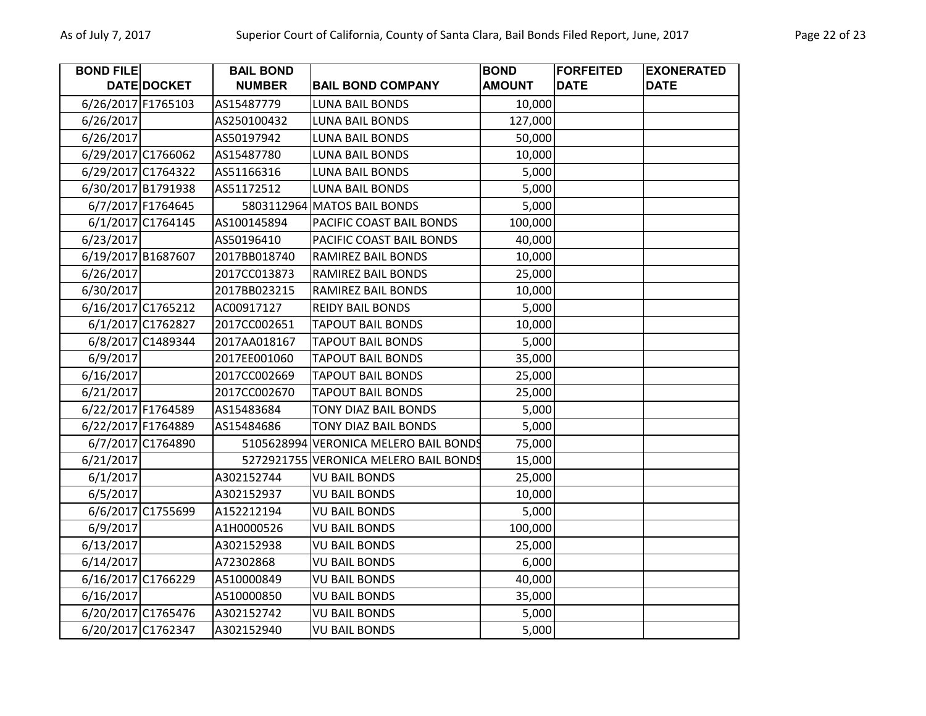| <b>BOND FILE</b>   |                    | <b>BAIL BOND</b> |                                       | <b>BOND</b>   | <b>FORFEITED</b> | <b>EXONERATED</b> |
|--------------------|--------------------|------------------|---------------------------------------|---------------|------------------|-------------------|
|                    | DATE DOCKET        | <b>NUMBER</b>    | <b>BAIL BOND COMPANY</b>              | <b>AMOUNT</b> | <b>DATE</b>      | <b>DATE</b>       |
| 6/26/2017 F1765103 |                    | AS15487779       | <b>LUNA BAIL BONDS</b>                | 10,000        |                  |                   |
| 6/26/2017          |                    | AS250100432      | <b>LUNA BAIL BONDS</b>                | 127,000       |                  |                   |
| 6/26/2017          |                    | AS50197942       | <b>LUNA BAIL BONDS</b>                | 50,000        |                  |                   |
|                    | 6/29/2017 C1766062 | AS15487780       | LUNA BAIL BONDS                       | 10,000        |                  |                   |
|                    | 6/29/2017 C1764322 | AS51166316       | <b>LUNA BAIL BONDS</b>                | 5,000         |                  |                   |
|                    | 6/30/2017 B1791938 | AS51172512       | <b>LUNA BAIL BONDS</b>                | 5,000         |                  |                   |
|                    | 6/7/2017 F1764645  |                  | 5803112964 MATOS BAIL BONDS           | 5,000         |                  |                   |
|                    | 6/1/2017 C1764145  | AS100145894      | PACIFIC COAST BAIL BONDS              | 100,000       |                  |                   |
| 6/23/2017          |                    | AS50196410       | PACIFIC COAST BAIL BONDS              | 40,000        |                  |                   |
|                    | 6/19/2017 B1687607 | 2017BB018740     | RAMIREZ BAIL BONDS                    | 10,000        |                  |                   |
| 6/26/2017          |                    | 2017CC013873     | <b>RAMIREZ BAIL BONDS</b>             | 25,000        |                  |                   |
| 6/30/2017          |                    | 2017BB023215     | <b>RAMIREZ BAIL BONDS</b>             | 10,000        |                  |                   |
|                    | 6/16/2017 C1765212 | AC00917127       | <b>REIDY BAIL BONDS</b>               | 5,000         |                  |                   |
|                    | 6/1/2017 C1762827  | 2017CC002651     | <b>TAPOUT BAIL BONDS</b>              | 10,000        |                  |                   |
|                    | 6/8/2017 C1489344  | 2017AA018167     | <b>TAPOUT BAIL BONDS</b>              | 5,000         |                  |                   |
| 6/9/2017           |                    | 2017EE001060     | <b>TAPOUT BAIL BONDS</b>              | 35,000        |                  |                   |
| 6/16/2017          |                    | 2017CC002669     | <b>TAPOUT BAIL BONDS</b>              | 25,000        |                  |                   |
| 6/21/2017          |                    | 2017CC002670     | <b>TAPOUT BAIL BONDS</b>              | 25,000        |                  |                   |
| 6/22/2017 F1764589 |                    | AS15483684       | TONY DIAZ BAIL BONDS                  | 5,000         |                  |                   |
|                    | 6/22/2017 F1764889 | AS15484686       | TONY DIAZ BAIL BONDS                  | 5,000         |                  |                   |
|                    | 6/7/2017 C1764890  |                  | 5105628994 VERONICA MELERO BAIL BONDS | 75,000        |                  |                   |
| 6/21/2017          |                    |                  | 5272921755 VERONICA MELERO BAIL BONDS | 15,000        |                  |                   |
| 6/1/2017           |                    | A302152744       | <b>VU BAIL BONDS</b>                  | 25,000        |                  |                   |
| 6/5/2017           |                    | A302152937       | <b>VU BAIL BONDS</b>                  | 10,000        |                  |                   |
|                    | 6/6/2017 C1755699  | A152212194       | <b>VU BAIL BONDS</b>                  | 5,000         |                  |                   |
| 6/9/2017           |                    | A1H0000526       | <b>VU BAIL BONDS</b>                  | 100,000       |                  |                   |
| 6/13/2017          |                    | A302152938       | <b>VU BAIL BONDS</b>                  | 25,000        |                  |                   |
| 6/14/2017          |                    | A72302868        | <b>VU BAIL BONDS</b>                  | 6,000         |                  |                   |
|                    | 6/16/2017 C1766229 | A510000849       | <b>VU BAIL BONDS</b>                  | 40,000        |                  |                   |
| 6/16/2017          |                    | A510000850       | <b>VU BAIL BONDS</b>                  | 35,000        |                  |                   |
|                    | 6/20/2017 C1765476 | A302152742       | <b>VU BAIL BONDS</b>                  | 5,000         |                  |                   |
|                    | 6/20/2017 C1762347 | A302152940       | <b>VU BAIL BONDS</b>                  | 5,000         |                  |                   |